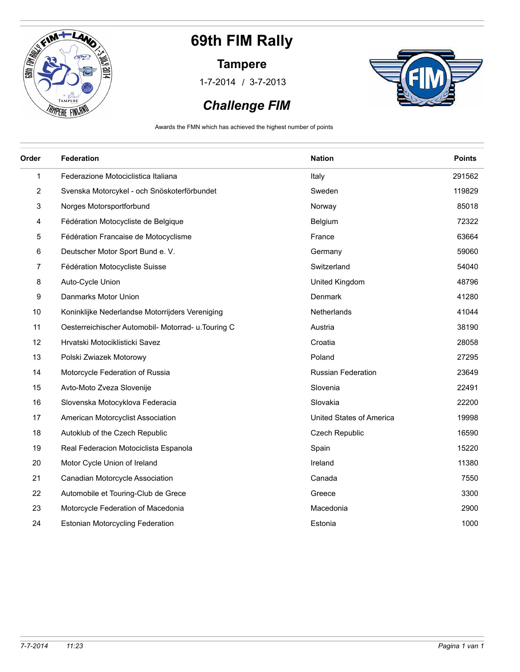

#### **Tampere**

/ 1-7-2014 3-7-2013



### *Challenge FIM*

Awards the FMN which has achieved the highest number of points

| Order          | Federation                                          | <b>Nation</b>             | <b>Points</b> |
|----------------|-----------------------------------------------------|---------------------------|---------------|
| 1              | Federazione Motociclistica Italiana                 | Italy                     | 291562        |
| $\overline{2}$ | Svenska Motorcykel - och Snöskoterförbundet         | Sweden                    | 119829        |
| 3              | Norges Motorsportforbund                            | Norway                    | 85018         |
| 4              | Fédération Motocycliste de Belgique                 | Belgium                   | 72322         |
| 5              | Fédération Francaise de Motocyclisme                | France                    | 63664         |
| 6              | Deutscher Motor Sport Bund e. V.                    | Germany                   | 59060         |
| 7              | Fédération Motocycliste Suisse                      | Switzerland               | 54040         |
| 8              | Auto-Cycle Union                                    | United Kingdom            | 48796         |
| 9              | Danmarks Motor Union                                | Denmark                   | 41280         |
| 10             | Koninklijke Nederlandse Motorrijders Vereniging     | Netherlands               | 41044         |
| 11             | Oesterreichischer Automobil- Motorrad- u. Touring C | Austria                   | 38190         |
| 12             | Hrvatski Motociklisticki Savez                      | Croatia                   | 28058         |
| 13             | Polski Zwiazek Motorowy                             | Poland                    | 27295         |
| 14             | Motorcycle Federation of Russia                     | <b>Russian Federation</b> | 23649         |
| 15             | Avto-Moto Zveza Slovenije                           | Slovenia                  | 22491         |
| 16             | Slovenska Motocyklova Federacia                     | Slovakia                  | 22200         |
| 17             | American Motorcyclist Association                   | United States of America  | 19998         |
| 18             | Autoklub of the Czech Republic                      | Czech Republic            | 16590         |
| 19             | Real Federacion Motociclista Espanola               | Spain                     | 15220         |
| 20             | Motor Cycle Union of Ireland                        | Ireland                   | 11380         |
| 21             | Canadian Motorcycle Association                     | Canada                    | 7550          |
| 22             | Automobile et Touring-Club de Grece                 | Greece                    | 3300          |
| 23             | Motorcycle Federation of Macedonia                  | Macedonia                 | 2900          |
| 24             | <b>Estonian Motorcycling Federation</b>             | Estonia                   | 1000          |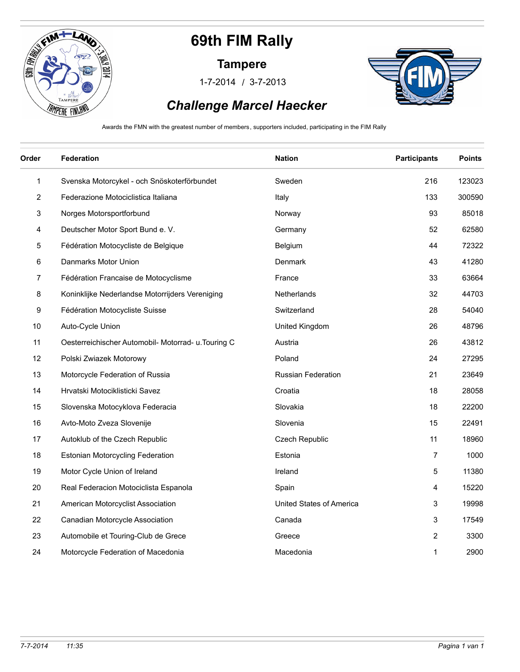

#### **Tampere**

/ 1-7-2014 3-7-2013



### *Challenge Marcel Haecker*

Awards the FMN with the greatest number of members, supporters included, participating in the FIM Rally

| Order        | <b>Federation</b>                                   | <b>Nation</b>             | <b>Participants</b> | <b>Points</b> |
|--------------|-----------------------------------------------------|---------------------------|---------------------|---------------|
| $\mathbf{1}$ | Svenska Motorcykel - och Snöskoterförbundet         | Sweden                    | 216                 | 123023        |
| 2            | Federazione Motociclistica Italiana                 | Italy                     | 133                 | 300590        |
| 3            | Norges Motorsportforbund                            | Norway                    | 93                  | 85018         |
| 4            | Deutscher Motor Sport Bund e. V.                    | Germany                   | 52                  | 62580         |
| 5            | Fédération Motocycliste de Belgique                 | Belgium                   | 44                  | 72322         |
| 6            | Danmarks Motor Union                                | Denmark                   | 43                  | 41280         |
| 7            | Fédération Francaise de Motocyclisme                | France                    | 33                  | 63664         |
| 8            | Koninklijke Nederlandse Motorrijders Vereniging     | Netherlands               | 32                  | 44703         |
| 9            | Fédération Motocycliste Suisse                      | Switzerland               | 28                  | 54040         |
| 10           | Auto-Cycle Union                                    | United Kingdom            | 26                  | 48796         |
| 11           | Oesterreichischer Automobil- Motorrad- u. Touring C | Austria                   | 26                  | 43812         |
| 12           | Polski Zwiazek Motorowy                             | Poland                    | 24                  | 27295         |
| 13           | Motorcycle Federation of Russia                     | <b>Russian Federation</b> | 21                  | 23649         |
| 14           | Hrvatski Motociklisticki Savez                      | Croatia                   | 18                  | 28058         |
| 15           | Slovenska Motocyklova Federacia                     | Slovakia                  | 18                  | 22200         |
| 16           | Avto-Moto Zveza Slovenije                           | Slovenia                  | 15                  | 22491         |
| 17           | Autoklub of the Czech Republic                      | <b>Czech Republic</b>     | 11                  | 18960         |
| 18           | <b>Estonian Motorcycling Federation</b>             | Estonia                   | 7                   | 1000          |
| 19           | Motor Cycle Union of Ireland                        | Ireland                   | 5                   | 11380         |
| 20           | Real Federacion Motociclista Espanola               | Spain                     | 4                   | 15220         |
| 21           | American Motorcyclist Association                   | United States of America  | 3                   | 19998         |
| 22           | Canadian Motorcycle Association                     | Canada                    | 3                   | 17549         |
| 23           | Automobile et Touring-Club de Grece                 | Greece                    | 2                   | 3300          |
| 24           | Motorcycle Federation of Macedonia                  | Macedonia                 | 1                   | 2900          |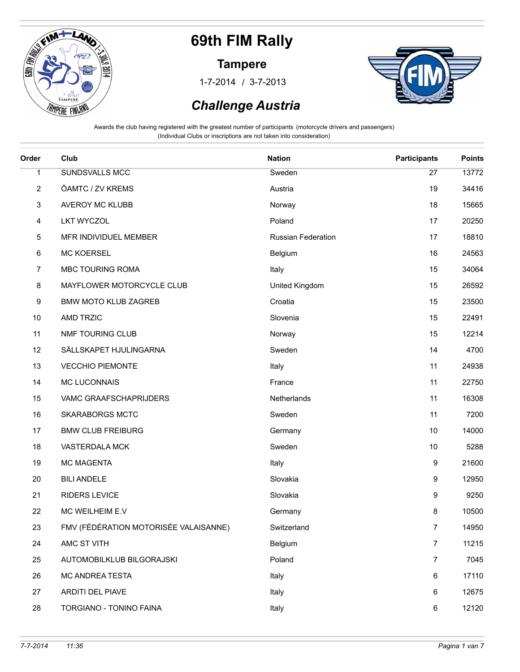

#### **Tampere**

/ 1-7-2014 3-7-2013



### *Challenge Austria*

| Order        | Club                                  | <b>Nation</b>      | <b>Participants</b> | <b>Points</b> |
|--------------|---------------------------------------|--------------------|---------------------|---------------|
| $\mathbf{1}$ | SUNDSVALLS MCC                        | Sweden             | 27                  | 13772         |
| 2            | ÖAMTC / ZV KREMS                      | Austria            | 19                  | 34416         |
| 3            | <b>AVEROY MC KLUBB</b>                | Norway             | 18                  | 15665         |
| 4            | <b>LKT WYCZOL</b>                     | Poland             | 17                  | 20250         |
| 5            | MFR INDIVIDUEL MEMBER                 | Russian Federation | 17                  | 18810         |
| 6            | <b>MC KOERSEL</b>                     | Belgium            | 16                  | 24563         |
| 7            | MBC TOURING ROMA                      | Italy              | 15                  | 34064         |
| 8            | MAYFLOWER MOTORCYCLE CLUB             | United Kingdom     | 15                  | 26592         |
| 9            | <b>BMW MOTO KLUB ZAGREB</b>           | Croatia            | 15                  | 23500         |
| 10           | <b>AMD TRZIC</b>                      | Slovenia           | 15                  | 22491         |
| 11           | NMF TOURING CLUB                      | Norway             | 15                  | 12214         |
| 12           | SÄLLSKAPET HJULINGARNA                | Sweden             | 14                  | 4700          |
| 13           | <b>VECCHIO PIEMONTE</b>               | Italy              | 11                  | 24938         |
| 14           | <b>MC LUCONNAIS</b>                   | France             | 11                  | 22750         |
| 15           | VAMC GRAAFSCHAPRIJDERS                | Netherlands        | 11                  | 16308         |
| 16           | <b>SKARABORGS MCTC</b>                | Sweden             | 11                  | 7200          |
| 17           | <b>BMW CLUB FREIBURG</b>              | Germany            | 10                  | 14000         |
| 18           | VASTERDALA MCK                        | Sweden             | 10                  | 5288          |
| 19           | MC MAGENTA                            | Italy              | 9                   | 21600         |
| 20           | <b>BILI ANDELE</b>                    | Slovakia           | 9                   | 12950         |
| 21           | <b>RIDERS LEVICE</b>                  | Slovakia           | 9                   | 9250          |
| 22           | MC WEILHEIM E.V                       | Germany            | 8                   | 10500         |
| 23           | FMV (FÉDÉRATION MOTORISÉE VALAISANNE) | Switzerland        | $\overline{7}$      | 14950         |
| 24           | AMC ST VITH                           | Belgium            | $\overline{7}$      | 11215         |
| 25           | AUTOMOBILKLUB BILGORAJSKI             | Poland             | $\overline{7}$      | 7045          |
| 26           | MC ANDREA TESTA                       | Italy              | 6                   | 17110         |
| 27           | ARDITI DEL PIAVE                      | Italy              | 6                   | 12675         |
| 28           | TORGIANO - TONINO FAINA               | Italy              | 6                   | 12120         |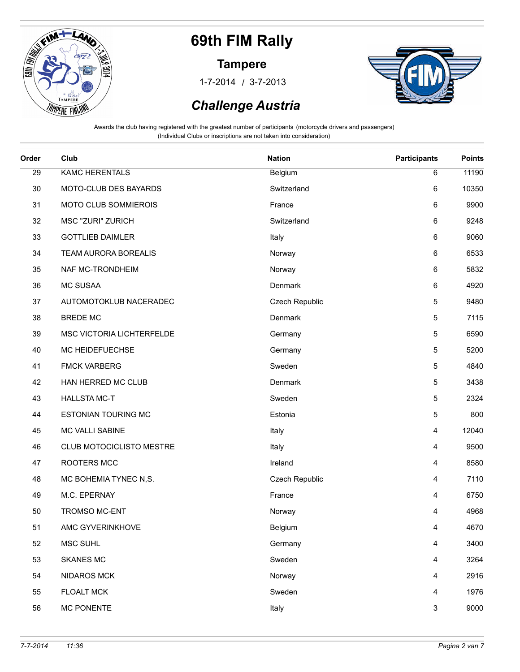

#### **Tampere**

/ 1-7-2014 3-7-2013



### *Challenge Austria*

| Order | Club                       | <b>Nation</b>  | <b>Participants</b> | <b>Points</b> |
|-------|----------------------------|----------------|---------------------|---------------|
| 29    | <b>KAMC HERENTALS</b>      | Belgium        | 6                   | 11190         |
| 30    | MOTO-CLUB DES BAYARDS      | Switzerland    | 6                   | 10350         |
| 31    | MOTO CLUB SOMMIEROIS       | France         | 6                   | 9900          |
| 32    | <b>MSC "ZURI" ZURICH</b>   | Switzerland    | 6                   | 9248          |
| 33    | <b>GOTTLIEB DAIMLER</b>    | Italy          | 6                   | 9060          |
| 34    | TEAM AURORA BOREALIS       | Norway         | 6                   | 6533          |
| 35    | NAF MC-TRONDHEIM           | Norway         | 6                   | 5832          |
| 36    | <b>MC SUSAA</b>            | Denmark        | 6                   | 4920          |
| 37    | AUTOMOTOKLUB NACERADEC     | Czech Republic | 5                   | 9480          |
| 38    | <b>BREDE MC</b>            | Denmark        | 5                   | 7115          |
| 39    | MSC VICTORIA LICHTERFELDE  | Germany        | 5                   | 6590          |
| 40    | MC HEIDEFUECHSE            | Germany        | 5                   | 5200          |
| 41    | <b>FMCK VARBERG</b>        | Sweden         | 5                   | 4840          |
| 42    | HAN HERRED MC CLUB         | Denmark        | 5                   | 3438          |
| 43    | <b>HALLSTA MC-T</b>        | Sweden         | 5                   | 2324          |
| 44    | <b>ESTONIAN TOURING MC</b> | Estonia        | 5                   | 800           |
| 45    | MC VALLI SABINE            | Italy          | 4                   | 12040         |
| 46    | CLUB MOTOCICLISTO MESTRE   | Italy          | 4                   | 9500          |
| 47    | ROOTERS MCC                | Ireland        | 4                   | 8580          |
| 48    | MC BOHEMIA TYNEC N,S.      | Czech Republic | 4                   | 7110          |
| 49    | M.C. EPERNAY               | France         | 4                   | 6750          |
| 50    | TROMSO MC-ENT              | Norway         | 4                   | 4968          |
| 51    | AMC GYVERINKHOVE           | Belgium        | 4                   | 4670          |
| 52    | MSC SUHL                   | Germany        | 4                   | 3400          |
| 53    | <b>SKANES MC</b>           | Sweden         | 4                   | 3264          |
| 54    | <b>NIDAROS MCK</b>         | Norway         | 4                   | 2916          |
| 55    | <b>FLOALT MCK</b>          | Sweden         | 4                   | 1976          |
| 56    | <b>MC PONENTE</b>          | Italy          | $\mathbf{3}$        | 9000          |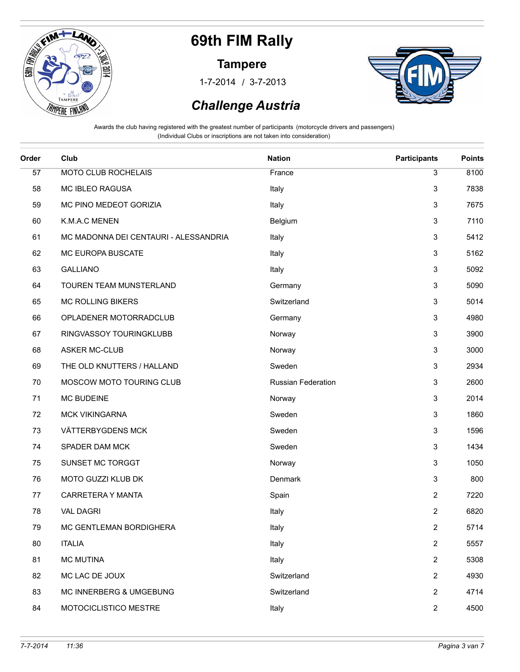

#### **Tampere**

/ 1-7-2014 3-7-2013



## *Challenge Austria*

| Order | Club                                  | <b>Nation</b>      | <b>Participants</b> | <b>Points</b> |
|-------|---------------------------------------|--------------------|---------------------|---------------|
| 57    | MOTO CLUB ROCHELAIS                   | France             | 3                   | 8100          |
| 58    | <b>MC IBLEO RAGUSA</b>                | Italy              | 3                   | 7838          |
| 59    | MC PINO MEDEOT GORIZIA                | Italy              | 3                   | 7675          |
| 60    | K.M.A.C MENEN                         | Belgium            | 3                   | 7110          |
| 61    | MC MADONNA DEI CENTAURI - ALESSANDRIA | Italy              | 3                   | 5412          |
| 62    | MC EUROPA BUSCATE                     | Italy              | 3                   | 5162          |
| 63    | <b>GALLIANO</b>                       | Italy              | 3                   | 5092          |
| 64    | TOUREN TEAM MUNSTERLAND               | Germany            | 3                   | 5090          |
| 65    | <b>MC ROLLING BIKERS</b>              | Switzerland        | 3                   | 5014          |
| 66    | OPLADENER MOTORRADCLUB                | Germany            | 3                   | 4980          |
| 67    | RINGVASSOY TOURINGKLUBB               | Norway             | 3                   | 3900          |
| 68    | <b>ASKER MC-CLUB</b>                  | Norway             | 3                   | 3000          |
| 69    | THE OLD KNUTTERS / HALLAND            | Sweden             | 3                   | 2934          |
| 70    | MOSCOW MOTO TOURING CLUB              | Russian Federation | 3                   | 2600          |
| 71    | <b>MC BUDEINE</b>                     | Norway             | 3                   | 2014          |
| 72    | MCK VIKINGARNA                        | Sweden             | 3                   | 1860          |
| 73    | VÄTTERBYGDENS MCK                     | Sweden             | $\mathbf{3}$        | 1596          |
| 74    | SPADER DAM MCK                        | Sweden             | 3                   | 1434          |
| 75    | SUNSET MC TORGGT                      | Norway             | 3                   | 1050          |
| 76    | MOTO GUZZI KLUB DK                    | Denmark            | 3                   | 800           |
| 77    | CARRETERA Y MANTA                     | Spain              | $\overline{2}$      | 7220          |
| 78    | <b>VAL DAGRI</b>                      | Italy              | $\mathbf{2}$        | 6820          |
| 79    | MC GENTLEMAN BORDIGHERA               | Italy              | $\overline{c}$      | 5714          |
| 80    | <b>ITALIA</b>                         | Italy              | $\overline{2}$      | 5557          |
| 81    | <b>MC MUTINA</b>                      | Italy              | $\overline{2}$      | 5308          |
| 82    | MC LAC DE JOUX                        | Switzerland        | $\overline{2}$      | 4930          |
| 83    | MC INNERBERG & UMGEBUNG               | Switzerland        | $\mathbf{2}$        | 4714          |
| 84    | MOTOCICLISTICO MESTRE                 | Italy              | $\overline{2}$      | 4500          |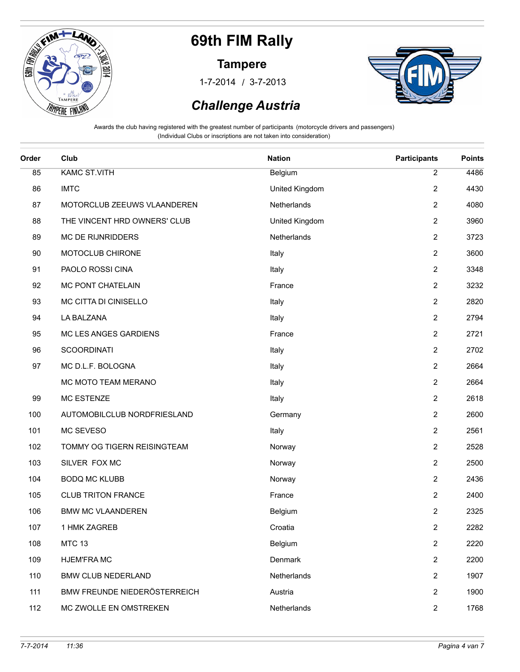

#### **Tampere**

/ 1-7-2014 3-7-2013



### *Challenge Austria*

| Order | Club                         | <b>Nation</b>  | <b>Participants</b>     | <b>Points</b> |
|-------|------------------------------|----------------|-------------------------|---------------|
| 85    | <b>KAMC ST.VITH</b>          | Belgium        | $\overline{2}$          | 4486          |
| 86    | <b>IMTC</b>                  | United Kingdom | $\overline{c}$          | 4430          |
| 87    | MOTORCLUB ZEEUWS VLAANDEREN  | Netherlands    | $\boldsymbol{2}$        | 4080          |
| 88    | THE VINCENT HRD OWNERS' CLUB | United Kingdom | $\overline{2}$          | 3960          |
| 89    | MC DE RIJNRIDDERS            | Netherlands    | $\mathbf{2}$            | 3723          |
| 90    | MOTOCLUB CHIRONE             | Italy          | $\mathbf{2}$            | 3600          |
| 91    | PAOLO ROSSI CINA             | Italy          | $\overline{2}$          | 3348          |
| 92    | MC PONT CHATELAIN            | France         | 2                       | 3232          |
| 93    | MC CITTA DI CINISELLO        | Italy          | $\boldsymbol{2}$        | 2820          |
| 94    | LA BALZANA                   | Italy          | $\overline{\mathbf{c}}$ | 2794          |
| 95    | MC LES ANGES GARDIENS        | France         | $\overline{2}$          | 2721          |
| 96    | <b>SCOORDINATI</b>           | Italy          | $\overline{\mathbf{c}}$ | 2702          |
| 97    | MC D.L.F. BOLOGNA            | Italy          | $\overline{2}$          | 2664          |
|       | MC MOTO TEAM MERANO          | Italy          | $\overline{c}$          | 2664          |
| 99    | <b>MC ESTENZE</b>            | Italy          | $\overline{2}$          | 2618          |
| 100   | AUTOMOBILCLUB NORDFRIESLAND  | Germany        | $\overline{2}$          | 2600          |
| 101   | MC SEVESO                    | Italy          | $\boldsymbol{2}$        | 2561          |
| 102   | TOMMY OG TIGERN REISINGTEAM  | Norway         | 2                       | 2528          |
| 103   | SILVER FOX MC                | Norway         | $\overline{\mathbf{c}}$ | 2500          |
| 104   | <b>BODQ MC KLUBB</b>         | Norway         | 2                       | 2436          |
| 105   | <b>CLUB TRITON FRANCE</b>    | France         | $\overline{2}$          | 2400          |
| 106   | <b>BMW MC VLAANDEREN</b>     | Belgium        | $\overline{2}$          | 2325          |
| 107   | 1 HMK ZAGREB                 | Croatia        | $\overline{\mathbf{c}}$ | 2282          |
| 108   | <b>MTC 13</b>                | Belgium        | $\overline{2}$          | 2220          |
| 109   | <b>HJEM'FRAMC</b>            | Denmark        | 2                       | 2200          |
| 110   | <b>BMW CLUB NEDERLAND</b>    | Netherlands    | 2                       | 1907          |
| 111   | BMW FREUNDE NIEDERÖSTERREICH | Austria        | 2                       | 1900          |
| 112   | MC ZWOLLE EN OMSTREKEN       | Netherlands    | $\overline{c}$          | 1768          |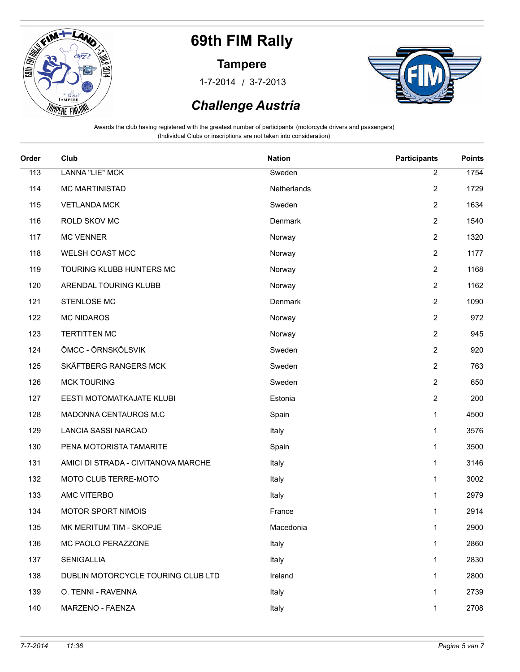

#### **Tampere**

/ 1-7-2014 3-7-2013



### *Challenge Austria*

| Order | Club                                | <b>Nation</b> | <b>Participants</b>     | <b>Points</b> |
|-------|-------------------------------------|---------------|-------------------------|---------------|
| 113   | <b>LANNA "LIE" MCK</b>              | Sweden        | $\overline{2}$          | 1754          |
| 114   | <b>MC MARTINISTAD</b>               | Netherlands   | $\overline{2}$          | 1729          |
| 115   | <b>VETLANDA MCK</b>                 | Sweden        | 2                       | 1634          |
| 116   | ROLD SKOV MC                        | Denmark       | $\overline{2}$          | 1540          |
| 117   | <b>MC VENNER</b>                    | Norway        | $\overline{2}$          | 1320          |
| 118   | WELSH COAST MCC                     | Norway        | $\overline{\mathbf{c}}$ | 1177          |
| 119   | TOURING KLUBB HUNTERS MC            | Norway        | $\overline{\mathbf{c}}$ | 1168          |
| 120   | ARENDAL TOURING KLUBB               | Norway        | $\overline{2}$          | 1162          |
| 121   | STENLOSE MC                         | Denmark       | 2                       | 1090          |
| 122   | <b>MC NIDAROS</b>                   | Norway        | $\overline{2}$          | 972           |
| 123   | <b>TERTITTEN MC</b>                 | Norway        | $\overline{2}$          | 945           |
| 124   | ÖMCC - ÖRNSKÖLSVIK                  | Sweden        | $\overline{2}$          | 920           |
| 125   | SKÄFTBERG RANGERS MCK               | Sweden        | $\overline{2}$          | 763           |
| 126   | <b>MCK TOURING</b>                  | Sweden        | $\overline{2}$          | 650           |
| 127   | EESTI MOTOMATKAJATE KLUBI           | Estonia       | 2                       | 200           |
| 128   | MADONNA CENTAUROS M.C               | Spain         | 1                       | 4500          |
| 129   | LANCIA SASSI NARCAO                 | Italy         | 1                       | 3576          |
| 130   | PENA MOTORISTA TAMARITE             | Spain         | 1                       | 3500          |
| 131   | AMICI DI STRADA - CIVITANOVA MARCHE | Italy         | 1                       | 3146          |
| 132   | MOTO CLUB TERRE-MOTO                | Italy         | 1                       | 3002          |
| 133   | AMC VITERBO                         | Italy         | 1                       | 2979          |
| 134   | MOTOR SPORT NIMOIS                  | France        | 1                       | 2914          |
| 135   | MK MERITUM TIM - SKOPJE             | Macedonia     | 1                       | 2900          |
| 136   | MC PAOLO PERAZZONE                  | Italy         | 1                       | 2860          |
| 137   | <b>SENIGALLIA</b>                   | Italy         | 1                       | 2830          |
| 138   | DUBLIN MOTORCYCLE TOURING CLUB LTD  | Ireland       | 1                       | 2800          |
| 139   | O. TENNI - RAVENNA                  | Italy         | 1                       | 2739          |
| 140   | MARZENO - FAENZA                    | Italy         | 1                       | 2708          |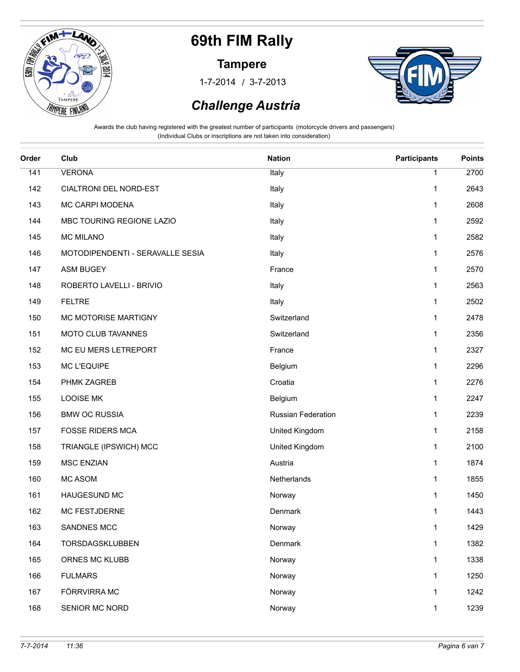

#### **Tampere**

/ 1-7-2014 3-7-2013



### *Challenge Austria*

| Order | Club                             | <b>Nation</b>      | <b>Participants</b> | <b>Points</b> |
|-------|----------------------------------|--------------------|---------------------|---------------|
| 141   | <b>VERONA</b>                    | Italy              | 1                   | 2700          |
| 142   | CIALTRONI DEL NORD-EST           | Italy              | 1                   | 2643          |
| 143   | MC CARPI MODENA                  | Italy              | 1                   | 2608          |
| 144   | MBC TOURING REGIONE LAZIO        | Italy              | 1                   | 2592          |
| 145   | <b>MC MILANO</b>                 | Italy              | 1                   | 2582          |
| 146   | MOTODIPENDENTI - SERAVALLE SESIA | Italy              | 1                   | 2576          |
| 147   | <b>ASM BUGEY</b>                 | France             | 1                   | 2570          |
| 148   | ROBERTO LAVELLI - BRIVIO         | Italy              | 1                   | 2563          |
| 149   | <b>FELTRE</b>                    | Italy              | 1                   | 2502          |
| 150   | MC MOTORISE MARTIGNY             | Switzerland        | 1                   | 2478          |
| 151   | MOTO CLUB TAVANNES               | Switzerland        | 1                   | 2356          |
| 152   | MC EU MERS LETREPORT             | France             | 1                   | 2327          |
| 153   | <b>MC L'EQUIPE</b>               | Belgium            | 1                   | 2296          |
| 154   | PHMK ZAGREB                      | Croatia            | 1                   | 2276          |
| 155   | <b>LOOISE MK</b>                 | Belgium            | 1                   | 2247          |
| 156   | <b>BMW OC RUSSIA</b>             | Russian Federation | 1                   | 2239          |
| 157   | <b>FOSSE RIDERS MCA</b>          | United Kingdom     | 1                   | 2158          |
| 158   | TRIANGLE (IPSWICH) MCC           | United Kingdom     | 1                   | 2100          |
| 159   | <b>MSC ENZIAN</b>                | Austria            | 1                   | 1874          |
| 160   | <b>MC ASOM</b>                   | Netherlands        | 1                   | 1855          |
| 161   | HAUGESUND MC                     | Norway             | 1                   | 1450          |
| 162   | MC FESTJDERNE                    | Denmark            | 1                   | 1443          |
| 163   | SANDNES MCC                      | Norway             | 1                   | 1429          |
| 164   | TORSDAGSKLUBBEN                  | Denmark            | 1                   | 1382          |
| 165   | ORNES MC KLUBB                   | Norway             | $\mathbf{1}$        | 1338          |
| 166   | <b>FULMARS</b>                   | Norway             | $\mathbf{1}$        | 1250          |
| 167   | FÖRRVIRRA MC                     | Norway             | 1                   | 1242          |
| 168   | SENIOR MC NORD                   | Norway             | $\mathbf{1}$        | 1239          |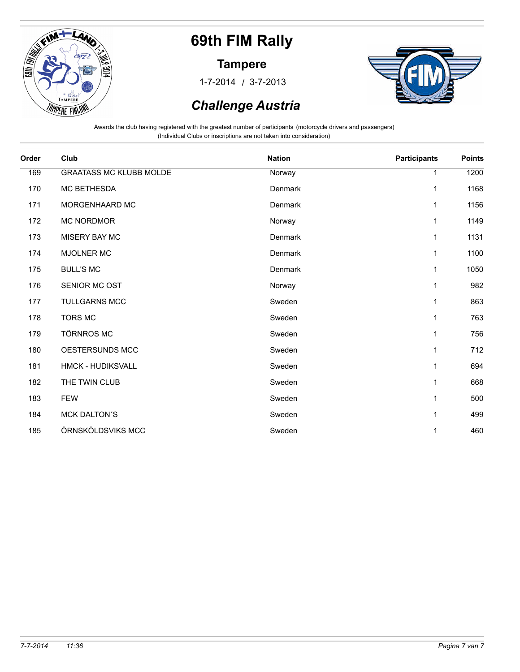

#### **Tampere**

/ 1-7-2014 3-7-2013



### *Challenge Austria*

| Order | Club                           | <b>Nation</b> | <b>Participants</b> | <b>Points</b> |
|-------|--------------------------------|---------------|---------------------|---------------|
| 169   | <b>GRAATASS MC KLUBB MOLDE</b> | Norway        | 1                   | 1200          |
| 170   | MC BETHESDA                    | Denmark       | 1                   | 1168          |
| 171   | MORGENHAARD MC                 | Denmark       | 1                   | 1156          |
| 172   | <b>MC NORDMOR</b>              | Norway        | 1                   | 1149          |
| 173   | <b>MISERY BAY MC</b>           | Denmark       | 1                   | 1131          |
| 174   | <b>MJOLNER MC</b>              | Denmark       | 1                   | 1100          |
| 175   | <b>BULL'S MC</b>               | Denmark       | 1                   | 1050          |
| 176   | SENIOR MC OST                  | Norway        | 1                   | 982           |
| 177   | <b>TULLGARNS MCC</b>           | Sweden        | 1                   | 863           |
| 178   | <b>TORS MC</b>                 | Sweden        | 1                   | 763           |
| 179   | <b>TÖRNROS MC</b>              | Sweden        | 1                   | 756           |
| 180   | OESTERSUNDS MCC                | Sweden        | 1                   | 712           |
| 181   | HMCK - HUDIKSVALL              | Sweden        | 1                   | 694           |
| 182   | THE TWIN CLUB                  | Sweden        | 1                   | 668           |
| 183   | <b>FEW</b>                     | Sweden        | 1                   | 500           |
| 184   | <b>MCK DALTON'S</b>            | Sweden        | 1                   | 499           |
| 185   | ÖRNSKÖLDSVIKS MCC              | Sweden        | 1                   | 460           |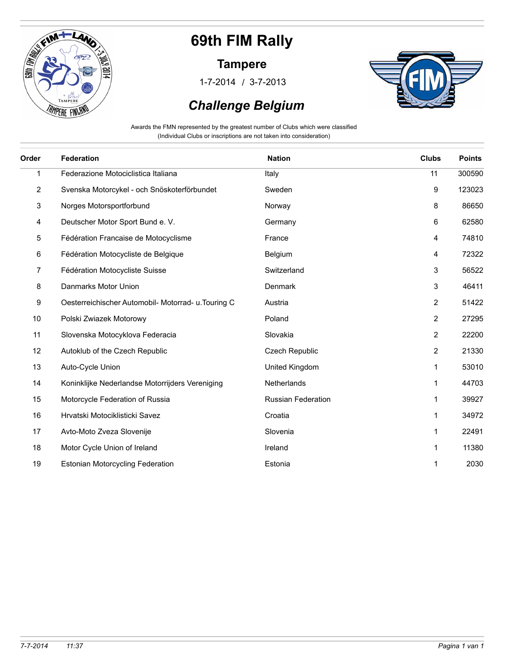

#### **Tampere**

/ 1-7-2014 3-7-2013



### *Challenge Belgium*

Awards the FMN represented by the greatest number of Clubs which were classified (Individual Clubs or inscriptions are not taken into consideration)

| Order | <b>Federation</b>                                   | <b>Nation</b>             | <b>Clubs</b>   | <b>Points</b> |
|-------|-----------------------------------------------------|---------------------------|----------------|---------------|
| 1     | Federazione Motociclistica Italiana                 | Italy                     | 11             | 300590        |
| 2     | Svenska Motorcykel - och Snöskoterförbundet         | Sweden                    | 9              | 123023        |
| 3     | Norges Motorsportforbund                            | Norway                    | 8              | 86650         |
| 4     | Deutscher Motor Sport Bund e. V.                    | Germany                   | 6              | 62580         |
| 5     | Fédération Francaise de Motocyclisme                | France                    | 4              | 74810         |
| 6     | Fédération Motocycliste de Belgique                 | Belgium                   | 4              | 72322         |
| 7     | Fédération Motocycliste Suisse                      | Switzerland               | 3              | 56522         |
| 8     | Danmarks Motor Union                                | Denmark                   | 3              | 46411         |
| 9     | Oesterreichischer Automobil- Motorrad- u. Touring C | Austria                   | 2              | 51422         |
| 10    | Polski Zwiazek Motorowy                             | Poland                    | $\overline{2}$ | 27295         |
| 11    | Slovenska Motocyklova Federacia                     | Slovakia                  | $\overline{2}$ | 22200         |
| 12    | Autoklub of the Czech Republic                      | <b>Czech Republic</b>     | $\overline{2}$ | 21330         |
| 13    | Auto-Cycle Union                                    | United Kingdom            | 1              | 53010         |
| 14    | Koninklijke Nederlandse Motorrijders Vereniging     | <b>Netherlands</b>        | 1              | 44703         |
| 15    | Motorcycle Federation of Russia                     | <b>Russian Federation</b> | 1              | 39927         |
| 16    | Hrvatski Motociklisticki Savez                      | Croatia                   | 1              | 34972         |
| 17    | Avto-Moto Zveza Slovenije                           | Slovenia                  | 1              | 22491         |
| 18    | Motor Cycle Union of Ireland                        | Ireland                   | 1              | 11380         |
| 19    | <b>Estonian Motorcycling Federation</b>             | Estonia                   | 1              | 2030          |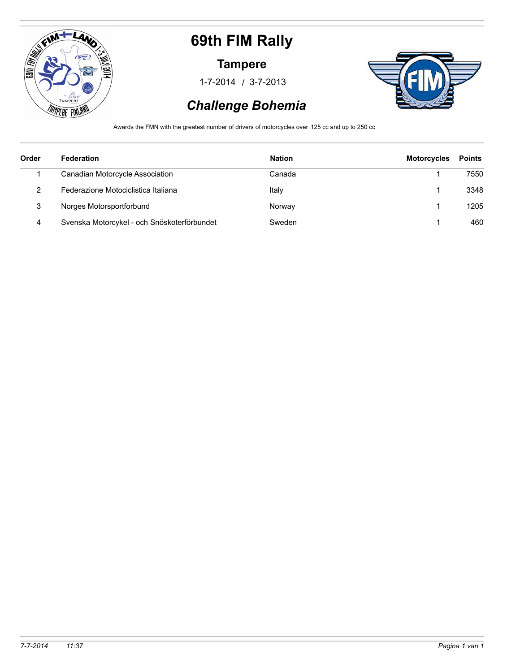

#### **Tampere**

/ 1-7-2014 3-7-2013



### *Challenge Bohemia*

Awards the FMN with the greatest number of drivers of motorcycles over 125 cc and up to 250 cc

| Order | <b>Federation</b>                           | <b>Nation</b> | <b>Motorcycles</b> | <b>Points</b> |
|-------|---------------------------------------------|---------------|--------------------|---------------|
|       | Canadian Motorcycle Association             | Canada        |                    | 7550          |
| 2     | Federazione Motociclistica Italiana         | Italy         |                    | 3348          |
| 3     | Norges Motorsportforbund                    | Norway        |                    | 1205          |
| 4     | Svenska Motorcykel - och Snöskoterförbundet | Sweden        |                    | 460           |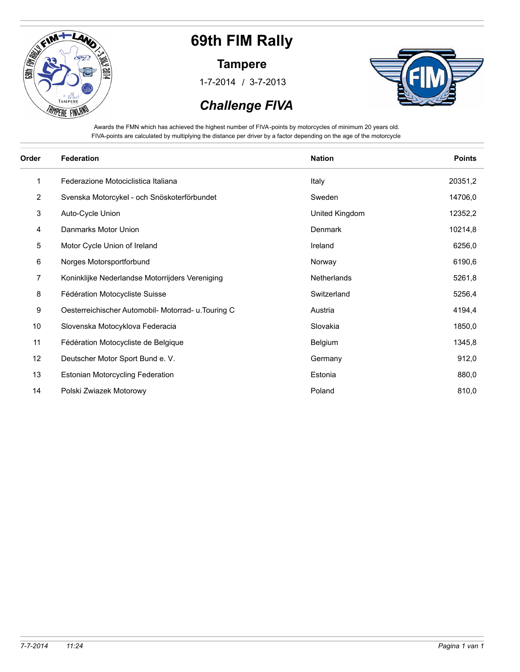

#### **Tampere**

/ 1-7-2014 3-7-2013



 *Challenge FIVA*

Awards the FMN which has achieved the highest number of FIVA-points by motorcycles of minimum 20 years old. FIVA-points are calculated by multiplying the distance per driver by a factor depending on the age of the motorcycle

| Order          | <b>Federation</b>                                   | <b>Nation</b>  | <b>Points</b> |
|----------------|-----------------------------------------------------|----------------|---------------|
| 1              | Federazione Motociclistica Italiana                 | Italy          | 20351,2       |
| $\overline{2}$ | Svenska Motorcykel - och Snöskoterförbundet         | Sweden         | 14706,0       |
| 3              | Auto-Cycle Union                                    | United Kingdom | 12352,2       |
| 4              | Danmarks Motor Union                                | <b>Denmark</b> | 10214,8       |
| 5              | Motor Cycle Union of Ireland                        | Ireland        | 6256,0        |
| 6              | Norges Motorsportforbund                            | Norway         | 6190,6        |
| 7              | Koninklijke Nederlandse Motorrijders Vereniging     | Netherlands    | 5261,8        |
| 8              | Fédération Motocycliste Suisse                      | Switzerland    | 5256,4        |
| 9              | Oesterreichischer Automobil- Motorrad- u. Touring C | Austria        | 4194,4        |
| 10             | Slovenska Motocyklova Federacia                     | Slovakia       | 1850,0        |
| 11             | Fédération Motocycliste de Belgique                 | Belgium        | 1345,8        |
| 12             | Deutscher Motor Sport Bund e. V.                    | Germany        | 912,0         |
| 13             | <b>Estonian Motorcycling Federation</b>             | Estonia        | 880,0         |
| 14             | Polski Zwiazek Motorowy                             | Poland         | 810,0         |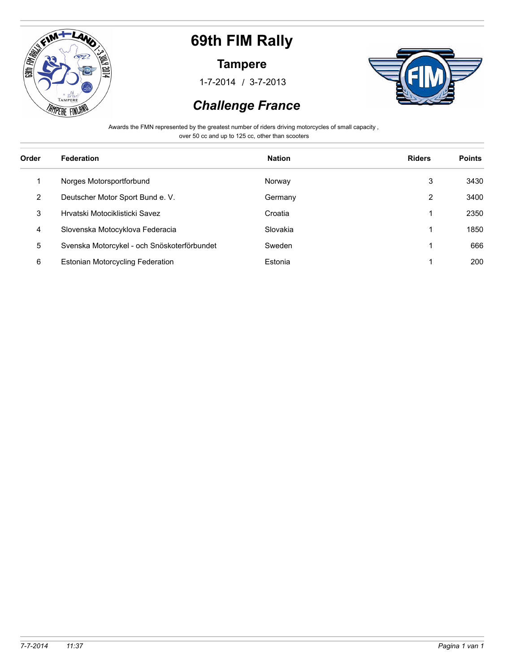

#### **Tampere**

/ 1-7-2014 3-7-2013



### *Challenge France*

Awards the FMN represented by the greatest number of riders driving motorcycles of small capacity ,

over 50 cc and up to 125 cc, other than scooters

| Order | <b>Federation</b>                           | <b>Nation</b> | <b>Riders</b> | <b>Points</b> |
|-------|---------------------------------------------|---------------|---------------|---------------|
| 1     | Norges Motorsportforbund                    | Norway        | 3             | 3430          |
| 2     | Deutscher Motor Sport Bund e. V.            | Germany       | 2             | 3400          |
| 3     | Hrvatski Motociklisticki Savez              | Croatia       |               | 2350          |
| 4     | Slovenska Motocyklova Federacia             | Slovakia      | 1             | 1850          |
| 5     | Svenska Motorcykel - och Snöskoterförbundet | Sweden        | 1             | 666           |
| 6     | <b>Estonian Motorcycling Federation</b>     | Estonia       | 4             | 200           |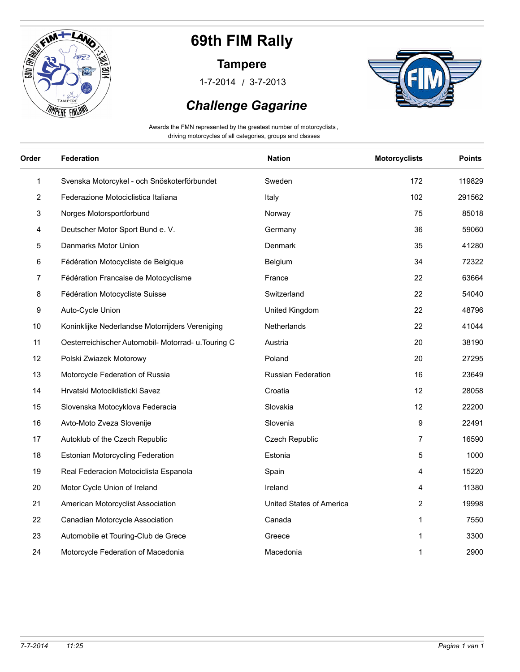

#### **Tampere**

/ 1-7-2014 3-7-2013





Awards the FMN represented by the greatest number of motorcyclists , driving motorcycles of all categories, groups and classes

| Order | Federation                                          | <b>Nation</b>             | <b>Motorcyclists</b> | <b>Points</b> |
|-------|-----------------------------------------------------|---------------------------|----------------------|---------------|
| 1     | Svenska Motorcykel - och Snöskoterförbundet         | Sweden                    | 172                  | 119829        |
| 2     | Federazione Motociclistica Italiana                 | Italy                     | 102                  | 291562        |
| 3     | Norges Motorsportforbund                            | Norway                    | 75                   | 85018         |
| 4     | Deutscher Motor Sport Bund e. V.                    | Germany                   | 36                   | 59060         |
| 5     | Danmarks Motor Union                                | Denmark                   | 35                   | 41280         |
| 6     | Fédération Motocycliste de Belgique                 | Belgium                   | 34                   | 72322         |
| 7     | Fédération Francaise de Motocyclisme                | France                    | 22                   | 63664         |
| 8     | Fédération Motocycliste Suisse                      | Switzerland               | 22                   | 54040         |
| 9     | Auto-Cycle Union                                    | United Kingdom            | 22                   | 48796         |
| 10    | Koninklijke Nederlandse Motorrijders Vereniging     | <b>Netherlands</b>        | 22                   | 41044         |
| 11    | Oesterreichischer Automobil- Motorrad- u. Touring C | Austria                   | 20                   | 38190         |
| 12    | Polski Zwiazek Motorowy                             | Poland                    | 20                   | 27295         |
| 13    | Motorcycle Federation of Russia                     | <b>Russian Federation</b> | 16                   | 23649         |
| 14    | Hrvatski Motociklisticki Savez                      | Croatia                   | 12                   | 28058         |
| 15    | Slovenska Motocyklova Federacia                     | Slovakia                  | 12                   | 22200         |
| 16    | Avto-Moto Zveza Slovenije                           | Slovenia                  | 9                    | 22491         |
| 17    | Autoklub of the Czech Republic                      | Czech Republic            | 7                    | 16590         |
| 18    | <b>Estonian Motorcycling Federation</b>             | Estonia                   | 5                    | 1000          |
| 19    | Real Federacion Motociclista Espanola               | Spain                     | 4                    | 15220         |
| 20    | Motor Cycle Union of Ireland                        | Ireland                   | 4                    | 11380         |
| 21    | American Motorcyclist Association                   | United States of America  | 2                    | 19998         |
| 22    | Canadian Motorcycle Association                     | Canada                    | 1                    | 7550          |
| 23    | Automobile et Touring-Club de Grece                 | Greece                    | 1                    | 3300          |
| 24    | Motorcycle Federation of Macedonia                  | Macedonia                 | 1                    | 2900          |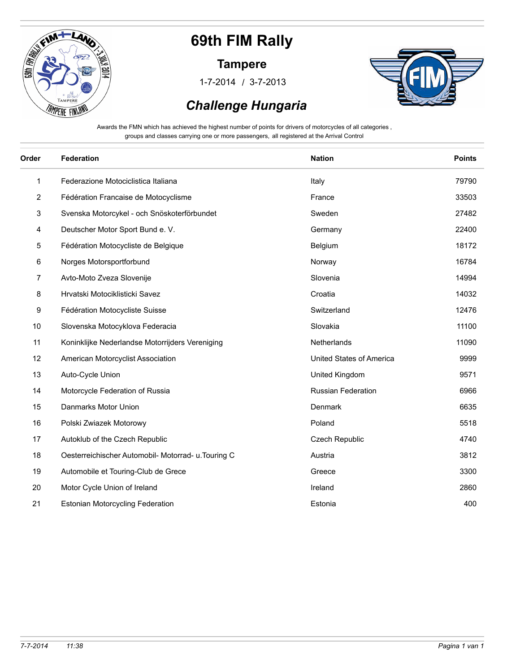

#### **Tampere**

/ 1-7-2014 3-7-2013



#### *Challenge Hungaria*

Awards the FMN which has achieved the highest number of points for drivers of motorcycles of all categories , groups and classes carrying one or more passengers, all registered at the Arrival Control

| Order          | <b>Federation</b>                                   | <b>Nation</b>             | <b>Points</b> |
|----------------|-----------------------------------------------------|---------------------------|---------------|
| 1              | Federazione Motociclistica Italiana                 | Italy                     | 79790         |
| $\overline{2}$ | Fédération Francaise de Motocyclisme                | France                    | 33503         |
| 3              | Svenska Motorcykel - och Snöskoterförbundet         | Sweden                    | 27482         |
| 4              | Deutscher Motor Sport Bund e. V.                    | Germany                   | 22400         |
| 5              | Fédération Motocycliste de Belgique                 | Belgium                   | 18172         |
| 6              | Norges Motorsportforbund                            | Norway                    | 16784         |
| 7              | Avto-Moto Zveza Slovenije                           | Slovenia                  | 14994         |
| 8              | Hrvatski Motociklisticki Savez                      | Croatia                   | 14032         |
| 9              | Fédération Motocycliste Suisse                      | Switzerland               | 12476         |
| 10             | Slovenska Motocyklova Federacia                     | Slovakia                  | 11100         |
| 11             | Koninklijke Nederlandse Motorrijders Vereniging     | Netherlands               | 11090         |
| 12             | American Motorcyclist Association                   | United States of America  | 9999          |
| 13             | Auto-Cycle Union                                    | United Kingdom            | 9571          |
| 14             | Motorcycle Federation of Russia                     | <b>Russian Federation</b> | 6966          |
| 15             | Danmarks Motor Union                                | Denmark                   | 6635          |
| 16             | Polski Zwiazek Motorowy                             | Poland                    | 5518          |
| 17             | Autoklub of the Czech Republic                      | <b>Czech Republic</b>     | 4740          |
| 18             | Oesterreichischer Automobil- Motorrad- u. Touring C | Austria                   | 3812          |
| 19             | Automobile et Touring-Club de Grece                 | Greece                    | 3300          |
| 20             | Motor Cycle Union of Ireland                        | Ireland                   | 2860          |
| 21             | <b>Estonian Motorcycling Federation</b>             | Estonia                   | 400           |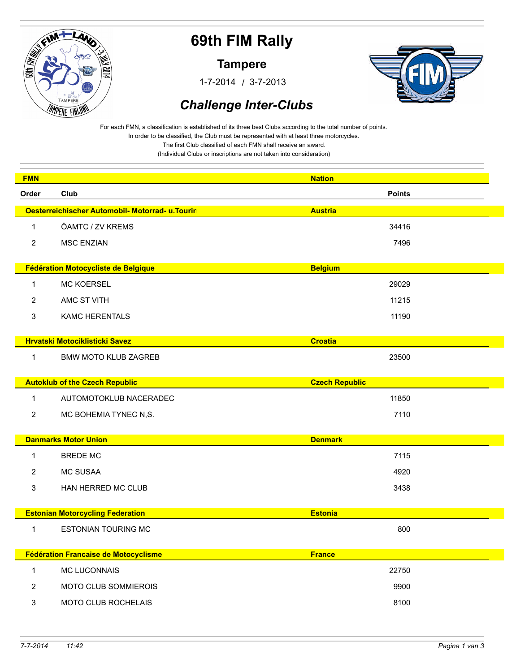

**Tampere**

/ 1-7-2014 3-7-2013



### *Challenge Inter-Clubs*

For each FMN, a classification is established of its three best Clubs according to the total number of points. In order to be classified, the Club must be represented with at least three motorcycles.

The first Club classified of each FMN shall receive an award.

(Individual Clubs or inscriptions are not taken into consideration)

| <b>FMN</b>     |                                                 | <b>Nation</b>         |  |
|----------------|-------------------------------------------------|-----------------------|--|
| Order          | Club                                            | <b>Points</b>         |  |
|                | Oesterreichischer Automobil- Motorrad- u.Tourin | <b>Austria</b>        |  |
| $\mathbf{1}$   | ÖAMTC / ZV KREMS                                | 34416                 |  |
| $\overline{c}$ | <b>MSC ENZIAN</b>                               | 7496                  |  |
|                |                                                 |                       |  |
|                | Fédération Motocycliste de Belgique             | <b>Belgium</b>        |  |
| $\mathbf{1}$   | MC KOERSEL                                      | 29029                 |  |
| $\overline{2}$ | AMC ST VITH                                     | 11215                 |  |
| 3              | <b>KAMC HERENTALS</b>                           | 11190                 |  |
|                |                                                 |                       |  |
|                | <b>Hrvatski Motociklisticki Savez</b>           | <b>Croatia</b>        |  |
| $\mathbf{1}$   | <b>BMW MOTO KLUB ZAGREB</b>                     | 23500                 |  |
|                |                                                 |                       |  |
|                | <b>Autoklub of the Czech Republic</b>           | <b>Czech Republic</b> |  |
| $\mathbf{1}$   | AUTOMOTOKLUB NACERADEC                          | 11850                 |  |
| $\overline{2}$ | MC BOHEMIA TYNEC N,S.                           | 7110                  |  |
|                | <b>Danmarks Motor Union</b>                     | <b>Denmark</b>        |  |
| $\mathbf{1}$   | <b>BREDE MC</b>                                 | 7115                  |  |
|                |                                                 |                       |  |
| 2              | <b>MC SUSAA</b>                                 | 4920                  |  |
| 3              | HAN HERRED MC CLUB                              | 3438                  |  |
|                | <b>Estonian Motorcycling Federation</b>         | <b>Estonia</b>        |  |
| $\mathbf{1}$   | <b>ESTONIAN TOURING MC</b>                      | 800                   |  |
|                |                                                 |                       |  |
|                | Fédération Francaise de Motocyclisme            | <b>France</b>         |  |
| $\mathbf 1$    | <b>MC LUCONNAIS</b>                             | 22750                 |  |
| 2              | <b>MOTO CLUB SOMMIEROIS</b>                     | 9900                  |  |
| 3              | <b>MOTO CLUB ROCHELAIS</b>                      | 8100                  |  |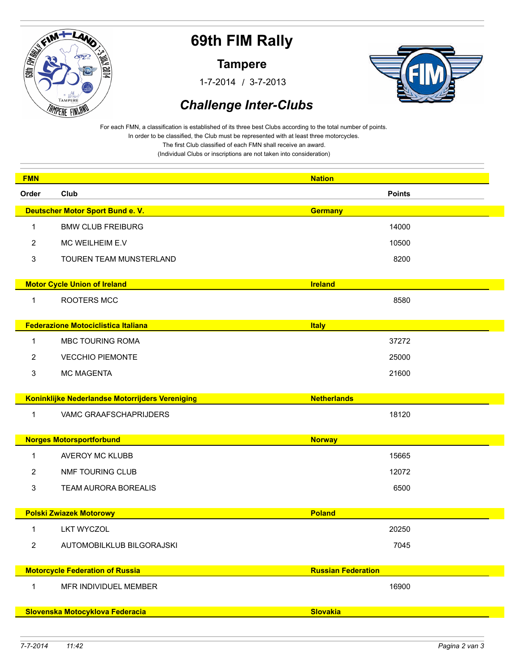

**Tampere**

/ 1-7-2014 3-7-2013



### *Challenge Inter-Clubs*

For each FMN, a classification is established of its three best Clubs according to the total number of points. In order to be classified, the Club must be represented with at least three motorcycles. The first Club classified of each FMN shall receive an award.

(Individual Clubs or inscriptions are not taken into consideration)

| <b>FMN</b>     |                                                 |                                |  |
|----------------|-------------------------------------------------|--------------------------------|--|
| Order          | Club                                            | <b>Nation</b><br><b>Points</b> |  |
|                | Deutscher Motor Sport Bund e. V.                |                                |  |
|                |                                                 | <b>Germany</b>                 |  |
| 1              | <b>BMW CLUB FREIBURG</b>                        | 14000                          |  |
| 2              | MC WEILHEIM E.V                                 | 10500                          |  |
| 3              | TOUREN TEAM MUNSTERLAND                         | 8200                           |  |
|                | <b>Motor Cycle Union of Ireland</b>             | <b>Ireland</b>                 |  |
| 1              | ROOTERS MCC                                     | 8580                           |  |
|                |                                                 |                                |  |
|                | <b>Federazione Motociclistica Italiana</b>      | <b>Italy</b>                   |  |
| 1              | <b>MBC TOURING ROMA</b>                         | 37272                          |  |
| 2              | <b>VECCHIO PIEMONTE</b>                         | 25000                          |  |
| 3              | <b>MC MAGENTA</b>                               | 21600                          |  |
|                |                                                 |                                |  |
|                | Koninklijke Nederlandse Motorrijders Vereniging | <b>Netherlands</b>             |  |
|                |                                                 |                                |  |
| 1              | VAMC GRAAFSCHAPRIJDERS                          | 18120                          |  |
|                |                                                 |                                |  |
|                | <b>Norges Motorsportforbund</b>                 | <b>Norway</b>                  |  |
| 1              | <b>AVEROY MC KLUBB</b>                          | 15665                          |  |
| 2              | NMF TOURING CLUB                                | 12072                          |  |
| 3              | <b>TEAM AURORA BOREALIS</b>                     | 6500                           |  |
|                |                                                 |                                |  |
|                | <b>Polski Zwiazek Motorowy</b>                  | <b>Poland</b>                  |  |
| 1              | <b>LKT WYCZOL</b>                               | 20250                          |  |
| $\overline{2}$ | AUTOMOBILKLUB BILGORAJSKI                       | 7045                           |  |
|                | <b>Motorcycle Federation of Russia</b>          | <b>Russian Federation</b>      |  |
|                |                                                 |                                |  |
| $\mathbf 1$    | MFR INDIVIDUEL MEMBER                           | 16900                          |  |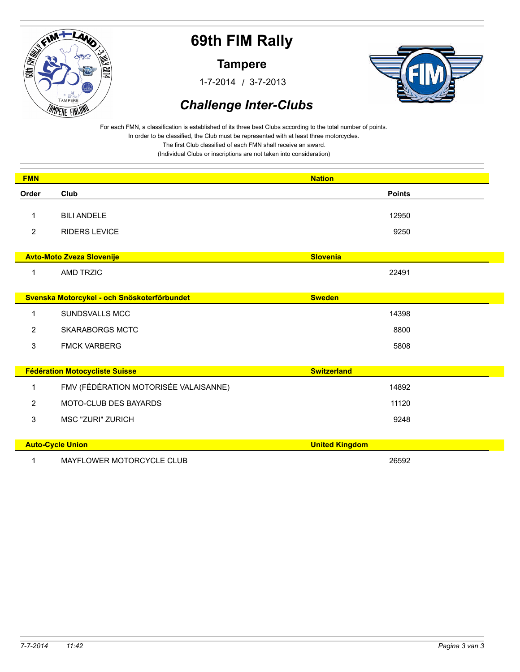

**Tampere**

/ 1-7-2014 3-7-2013



### *Challenge Inter-Clubs*

For each FMN, a classification is established of its three best Clubs according to the total number of points. In order to be classified, the Club must be represented with at least three motorcycles.

The first Club classified of each FMN shall receive an award.

(Individual Clubs or inscriptions are not taken into consideration)

| <b>FMN</b>     |                                             | <b>Nation</b>         |
|----------------|---------------------------------------------|-----------------------|
| Order          | Club                                        | <b>Points</b>         |
|                |                                             |                       |
| 1              | <b>BILI ANDELE</b>                          | 12950                 |
| $\overline{2}$ | <b>RIDERS LEVICE</b>                        | 9250                  |
|                |                                             |                       |
|                | <b>Avto-Moto Zveza Slovenije</b>            | <b>Slovenia</b>       |
| 1              | <b>AMD TRZIC</b>                            | 22491                 |
|                |                                             |                       |
|                | Svenska Motorcykel - och Snöskoterförbundet | <b>Sweden</b>         |
| 1              | <b>SUNDSVALLS MCC</b>                       | 14398                 |
| 2              | <b>SKARABORGS MCTC</b>                      | 8800                  |
| 3              | <b>FMCK VARBERG</b>                         | 5808                  |
|                |                                             |                       |
|                | <b>Fédération Motocycliste Suisse</b>       | <b>Switzerland</b>    |
| $\mathbf 1$    | FMV (FÉDÉRATION MOTORISÉE VALAISANNE)       | 14892                 |
| $\overline{2}$ | <b>MOTO-CLUB DES BAYARDS</b>                | 11120                 |
| 3              | <b>MSC "ZURI" ZURICH</b>                    | 9248                  |
|                |                                             |                       |
|                | <b>Auto-Cycle Union</b>                     | <b>United Kingdom</b> |
| 1              | MAYFLOWER MOTORCYCLE CLUB                   | 26592                 |
|                |                                             |                       |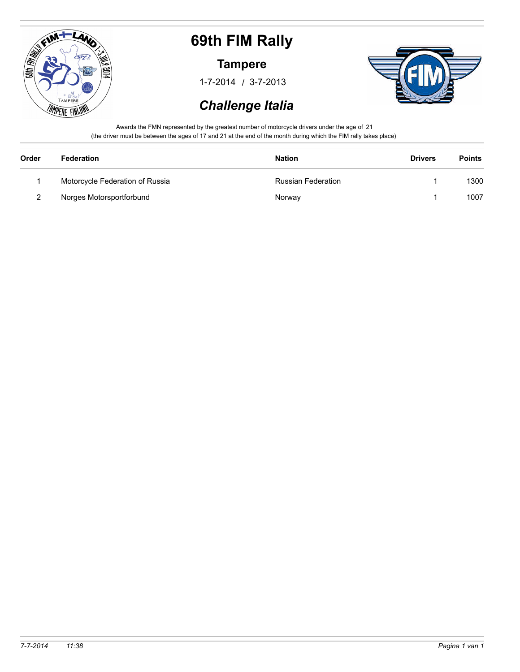

#### **Tampere**

/ 1-7-2014 3-7-2013



### *Challenge Italia*

Awards the FMN represented by the greatest number of motorcycle drivers under the age of 21 (the driver must be between the ages of 17 and 21 at the end of the month during which the FIM rally takes place)

| Order         | Federation                      | <b>Nation</b>             | <b>Drivers</b> | <b>Points</b> |
|---------------|---------------------------------|---------------------------|----------------|---------------|
|               | Motorcycle Federation of Russia | <b>Russian Federation</b> |                | 1300          |
| $\mathcal{P}$ | Norges Motorsportforbund        | Norway                    |                | 1007          |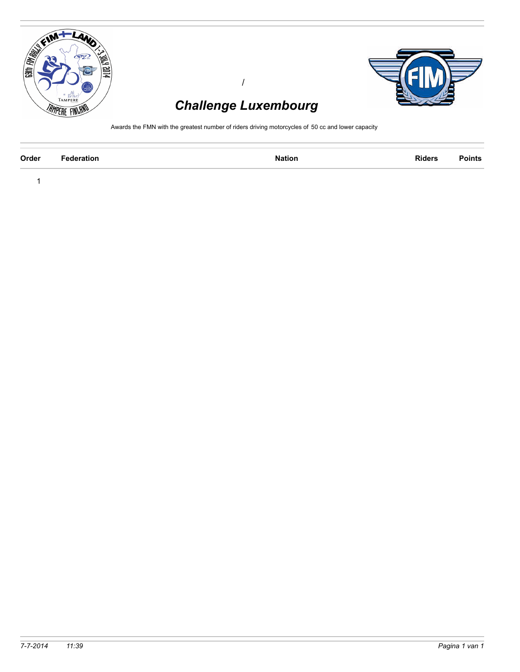

1



# *Challenge Luxembourg*

/

Awards the FMN with the greatest number of riders driving motorcycles of 50 cc and lower capacity

| Order | ---<br>. | . | Riders<br>. |  |
|-------|----------|---|-------------|--|
|       |          |   |             |  |

*7-7-2014 11:39 Pagina 1 van 1*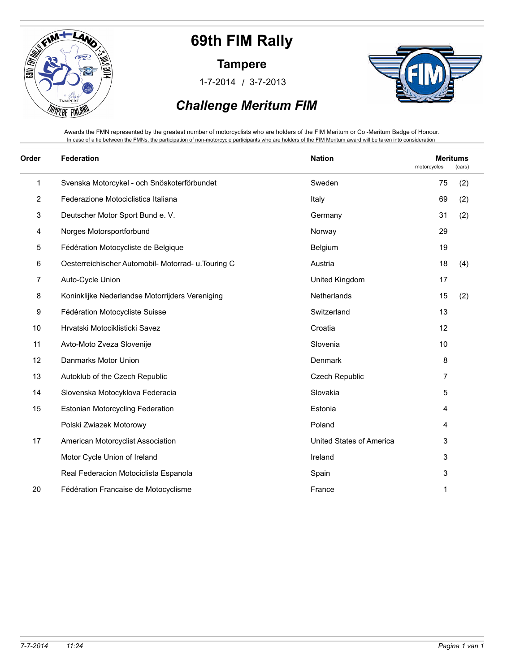

**Tampere**

/ 1-7-2014 3-7-2013



### *Challenge Meritum FIM*

Awards the FMN represented by the greatest number of motorcyclists who are holders of the FIM Meritum or Co -Meritum Badge of Honour. In case of a tie between the FMNs, the participation of non-motorcycle participants who are holders of the FIM Meritum award will be taken into consideration

| Order          | Federation                                          | <b>Nation</b>            | motorcycles | <b>Meritums</b><br>(cars) |  |
|----------------|-----------------------------------------------------|--------------------------|-------------|---------------------------|--|
| 1              | Svenska Motorcykel - och Snöskoterförbundet         | Sweden                   | 75          | (2)                       |  |
| $\overline{2}$ | Federazione Motociclistica Italiana                 | Italy                    | 69          | (2)                       |  |
| 3              | Deutscher Motor Sport Bund e. V.                    | Germany                  | 31          | (2)                       |  |
| 4              | Norges Motorsportforbund                            | Norway                   | 29          |                           |  |
| 5              | Fédération Motocycliste de Belgique                 | Belgium                  | 19          |                           |  |
| 6              | Oesterreichischer Automobil- Motorrad- u. Touring C | Austria                  | 18          | (4)                       |  |
| 7              | Auto-Cycle Union                                    | United Kingdom           | 17          |                           |  |
| 8              | Koninklijke Nederlandse Motorrijders Vereniging     | Netherlands              | 15          | (2)                       |  |
| 9              | Fédération Motocycliste Suisse                      | Switzerland              | 13          |                           |  |
| 10             | Hrvatski Motociklisticki Savez                      | Croatia                  | 12          |                           |  |
| 11             | Avto-Moto Zveza Slovenije                           | Slovenia                 | 10          |                           |  |
| 12             | Danmarks Motor Union                                | Denmark                  | 8           |                           |  |
| 13             | Autoklub of the Czech Republic                      | <b>Czech Republic</b>    | 7           |                           |  |
| 14             | Slovenska Motocyklova Federacia                     | Slovakia                 | 5           |                           |  |
| 15             | <b>Estonian Motorcycling Federation</b>             | Estonia                  | 4           |                           |  |
|                | Polski Zwiazek Motorowy                             | Poland                   | 4           |                           |  |
| 17             | American Motorcyclist Association                   | United States of America | 3           |                           |  |
|                | Motor Cycle Union of Ireland                        | Ireland                  | 3           |                           |  |
|                | Real Federacion Motociclista Espanola               | Spain                    | 3           |                           |  |
| 20             | Fédération Francaise de Motocyclisme                | France                   | 1           |                           |  |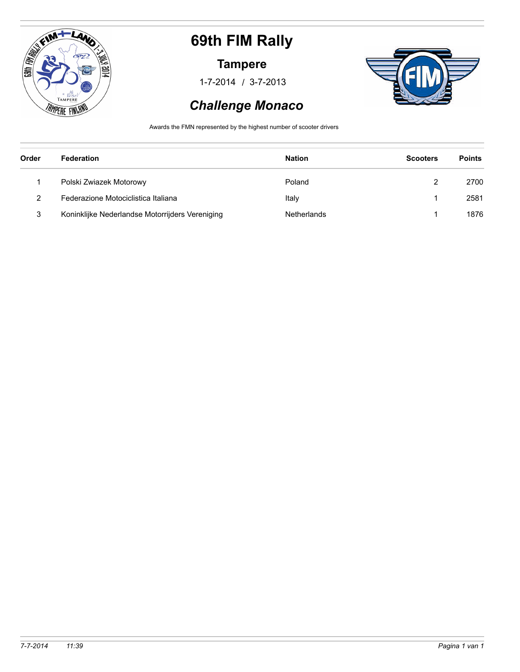

#### **Tampere**

/ 1-7-2014 3-7-2013



### *Challenge Monaco*

Awards the FMN represented by the highest number of scooter drivers

| Order | Federation                                      | <b>Nation</b> | <b>Scooters</b> | <b>Points</b> |
|-------|-------------------------------------------------|---------------|-----------------|---------------|
|       | Polski Zwiazek Motorowy                         | Poland        |                 | 2700          |
| 2     | Federazione Motociclistica Italiana             | Italy         |                 | 2581          |
| 3     | Koninklijke Nederlandse Motorrijders Vereniging | Netherlands   |                 | 1876          |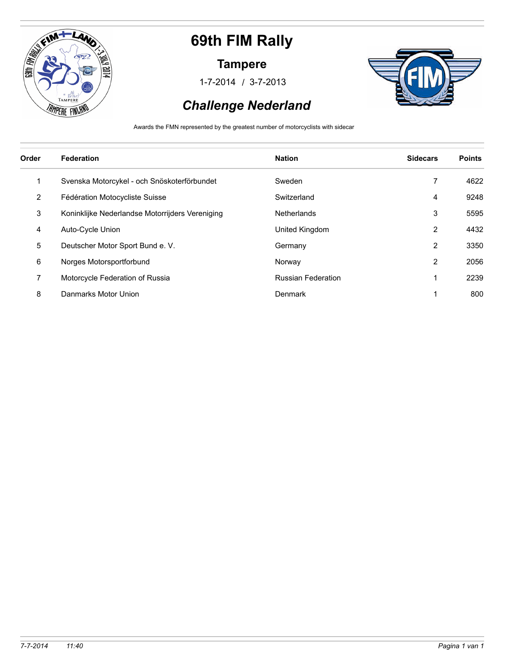

#### **Tampere**

/ 1-7-2014 3-7-2013



### *Challenge Nederland*

Awards the FMN represented by the greatest number of motorcyclists with sidecar

| Order | <b>Federation</b>                               | <b>Nation</b>             | <b>Sidecars</b> | <b>Points</b> |
|-------|-------------------------------------------------|---------------------------|-----------------|---------------|
| 1     | Svenska Motorcykel - och Snöskoterförbundet     | Sweden                    | 7               | 4622          |
| 2     | Fédération Motocycliste Suisse                  | Switzerland               | 4               | 9248          |
| 3     | Koninklijke Nederlandse Motorrijders Vereniging | Netherlands               | 3               | 5595          |
| 4     | Auto-Cycle Union                                | United Kingdom            | $\overline{2}$  | 4432          |
| 5     | Deutscher Motor Sport Bund e. V.                | Germany                   | $\overline{2}$  | 3350          |
| 6     | Norges Motorsportforbund                        | Norway                    | 2               | 2056          |
| 7     | Motorcycle Federation of Russia                 | <b>Russian Federation</b> |                 | 2239          |
| 8     | Danmarks Motor Union                            | Denmark                   |                 | 800           |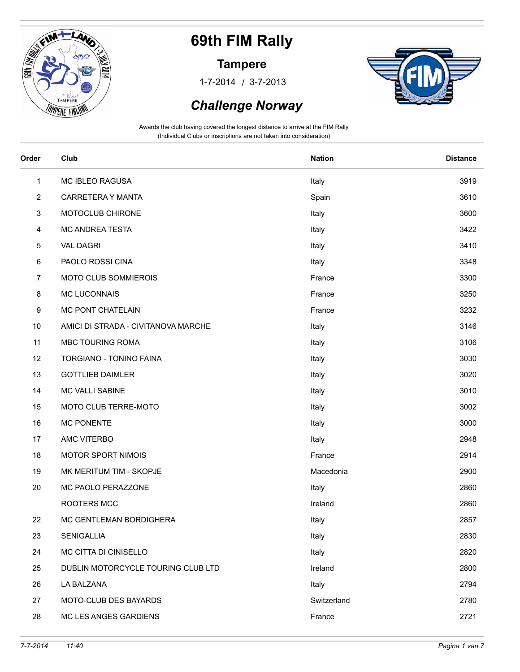

#### **Tampere**

/ 1-7-2014 3-7-2013



### *Challenge Norway*

| Order          | Club                                | <b>Nation</b> | <b>Distance</b> |
|----------------|-------------------------------------|---------------|-----------------|
| $\mathbf{1}$   | <b>MC IBLEO RAGUSA</b>              | Italy         | 3919            |
| $\overline{2}$ | CARRETERA Y MANTA                   | Spain         | 3610            |
| 3              | MOTOCLUB CHIRONE                    | Italy         | 3600            |
| 4              | MC ANDREA TESTA                     | Italy         | 3422            |
| 5              | <b>VAL DAGRI</b>                    | Italy         | 3410            |
| 6              | PAOLO ROSSI CINA                    | Italy         | 3348            |
| $\overline{7}$ | MOTO CLUB SOMMIEROIS                | France        | 3300            |
| 8              | <b>MC LUCONNAIS</b>                 | France        | 3250            |
| 9              | MC PONT CHATELAIN                   | France        | 3232            |
| 10             | AMICI DI STRADA - CIVITANOVA MARCHE | Italy         | 3146            |
| 11             | MBC TOURING ROMA                    | Italy         | 3106            |
| 12             | TORGIANO - TONINO FAINA             | Italy         | 3030            |
| 13             | <b>GOTTLIEB DAIMLER</b>             | Italy         | 3020            |
| 14             | MC VALLI SABINE                     | Italy         | 3010            |
| 15             | MOTO CLUB TERRE-MOTO                | Italy         | 3002            |
| 16             | <b>MC PONENTE</b>                   | Italy         | 3000            |
| 17             | AMC VITERBO                         | Italy         | 2948            |
| 18             | MOTOR SPORT NIMOIS                  | France        | 2914            |
| 19             | MK MERITUM TIM - SKOPJE             | Macedonia     | 2900            |
| 20             | MC PAOLO PERAZZONE                  | Italy         | 2860            |
|                | ROOTERS MCC                         | Ireland       | 2860            |
| 22             | MC GENTLEMAN BORDIGHERA             | Italy         | 2857            |
| 23             | SENIGALLIA                          | Italy         | 2830            |
| 24             | MC CITTA DI CINISELLO               | Italy         | 2820            |
| 25             | DUBLIN MOTORCYCLE TOURING CLUB LTD  | Ireland       | 2800            |
| 26             | LA BALZANA                          | Italy         | 2794            |
| 27             | MOTO-CLUB DES BAYARDS               | Switzerland   | 2780            |
| 28             | MC LES ANGES GARDIENS               | France        | 2721            |
|                |                                     |               |                 |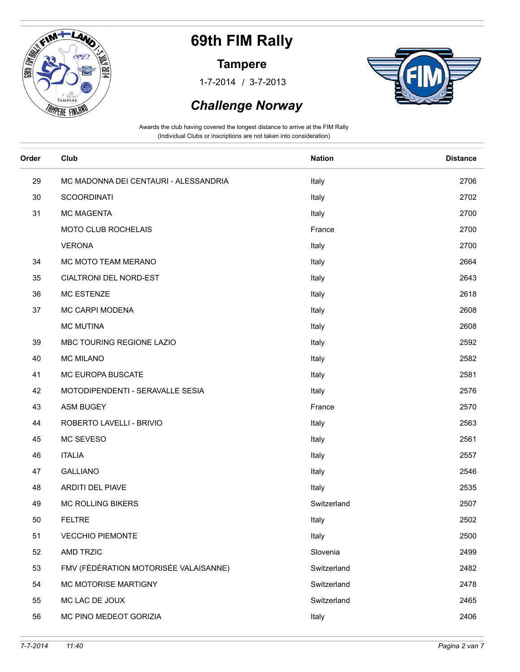

#### **Tampere**

/ 1-7-2014 3-7-2013



#### *Challenge Norway*

| Order | Club                                  | <b>Nation</b> | <b>Distance</b> |
|-------|---------------------------------------|---------------|-----------------|
| 29    | MC MADONNA DEI CENTAURI - ALESSANDRIA | Italy         | 2706            |
| 30    | <b>SCOORDINATI</b>                    | Italy         | 2702            |
| 31    | <b>MC MAGENTA</b>                     | Italy         | 2700            |
|       | MOTO CLUB ROCHELAIS                   | France        | 2700            |
|       | <b>VERONA</b>                         | Italy         | 2700            |
| 34    | MC MOTO TEAM MERANO                   | Italy         | 2664            |
| 35    | CIALTRONI DEL NORD-EST                | Italy         | 2643            |
| 36    | MC ESTENZE                            | Italy         | 2618            |
| 37    | MC CARPI MODENA                       | Italy         | 2608            |
|       | <b>MC MUTINA</b>                      | Italy         | 2608            |
| 39    | MBC TOURING REGIONE LAZIO             | Italy         | 2592            |
| 40    | <b>MC MILANO</b>                      | Italy         | 2582            |
| 41    | MC EUROPA BUSCATE                     | Italy         | 2581            |
| 42    | MOTODIPENDENTI - SERAVALLE SESIA      | Italy         | 2576            |
| 43    | <b>ASM BUGEY</b>                      | France        | 2570            |
| 44    | ROBERTO LAVELLI - BRIVIO              | Italy         | 2563            |
| 45    | MC SEVESO                             | Italy         | 2561            |
| 46    | <b>ITALIA</b>                         | Italy         | 2557            |
| 47    | <b>GALLIANO</b>                       | Italy         | 2546            |
| 48    | ARDITI DEL PIAVE                      | Italy         | 2535            |
| 49    | <b>MC ROLLING BIKERS</b>              | Switzerland   | 2507            |
| 50    | <b>FELTRE</b>                         | Italy         | 2502            |
| 51    | <b>VECCHIO PIEMONTE</b>               | Italy         | 2500            |
| 52    | <b>AMD TRZIC</b>                      | Slovenia      | 2499            |
| 53    | FMV (FÉDÉRATION MOTORISÉE VALAISANNE) | Switzerland   | 2482            |
| 54    | <b>MC MOTORISE MARTIGNY</b>           | Switzerland   | 2478            |
| 55    | MC LAC DE JOUX                        | Switzerland   | 2465            |
| 56    | MC PINO MEDEOT GORIZIA                | Italy         | 2406            |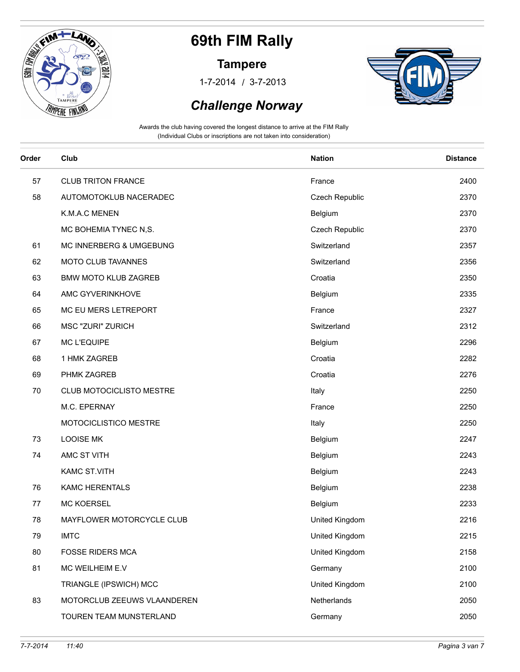

#### **Tampere**

/ 1-7-2014 3-7-2013



### *Challenge Norway*

| Order | Club                        | <b>Nation</b>  | <b>Distance</b> |
|-------|-----------------------------|----------------|-----------------|
| 57    | <b>CLUB TRITON FRANCE</b>   | France         | 2400            |
| 58    | AUTOMOTOKLUB NACERADEC      | Czech Republic | 2370            |
|       | K.M.A.C MENEN               | Belgium        | 2370            |
|       | MC BOHEMIA TYNEC N,S.       | Czech Republic | 2370            |
| 61    | MC INNERBERG & UMGEBUNG     | Switzerland    | 2357            |
| 62    | MOTO CLUB TAVANNES          | Switzerland    | 2356            |
| 63    | <b>BMW MOTO KLUB ZAGREB</b> | Croatia        | 2350            |
| 64    | AMC GYVERINKHOVE            | Belgium        | 2335            |
| 65    | MC EU MERS LETREPORT        | France         | 2327            |
| 66    | <b>MSC "ZURI" ZURICH</b>    | Switzerland    | 2312            |
| 67    | <b>MC L'EQUIPE</b>          | Belgium        | 2296            |
| 68    | 1 HMK ZAGREB                | Croatia        | 2282            |
| 69    | PHMK ZAGREB                 | Croatia        | 2276            |
| 70    | CLUB MOTOCICLISTO MESTRE    | Italy          | 2250            |
|       | M.C. EPERNAY                | France         | 2250            |
|       | MOTOCICLISTICO MESTRE       | Italy          | 2250            |
| 73    | <b>LOOISE MK</b>            | Belgium        | 2247            |
| 74    | AMC ST VITH                 | Belgium        | 2243            |
|       | KAMC ST.VITH                | Belgium        | 2243            |
| 76    | <b>KAMC HERENTALS</b>       | Belgium        | 2238            |
| 77    | <b>MC KOERSEL</b>           | Belgium        | 2233            |
| 78    | MAYFLOWER MOTORCYCLE CLUB   | United Kingdom | 2216            |
| 79    | <b>IMTC</b>                 | United Kingdom | 2215            |
| 80    | <b>FOSSE RIDERS MCA</b>     | United Kingdom | 2158            |
| 81    | MC WEILHEIM E.V             | Germany        | 2100            |
|       | TRIANGLE (IPSWICH) MCC      | United Kingdom | 2100            |
| 83    | MOTORCLUB ZEEUWS VLAANDEREN | Netherlands    | 2050            |
|       | TOUREN TEAM MUNSTERLAND     | Germany        | 2050            |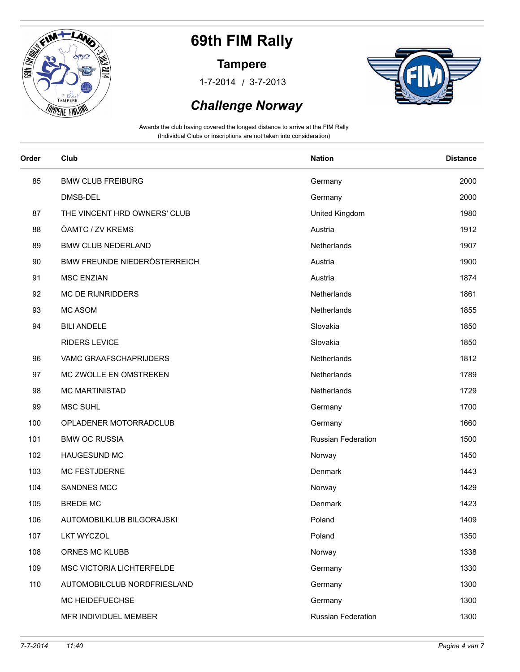

#### **Tampere**

/ 1-7-2014 3-7-2013



### *Challenge Norway*

| Order | Club                         | <b>Nation</b>             | <b>Distance</b> |
|-------|------------------------------|---------------------------|-----------------|
| 85    | <b>BMW CLUB FREIBURG</b>     | Germany                   | 2000            |
|       | DMSB-DEL                     | Germany                   | 2000            |
| 87    | THE VINCENT HRD OWNERS' CLUB | United Kingdom            | 1980            |
| 88    | ÖAMTC / ZV KREMS             | Austria                   | 1912            |
| 89    | <b>BMW CLUB NEDERLAND</b>    | Netherlands               | 1907            |
| 90    | BMW FREUNDE NIEDERÖSTERREICH | Austria                   | 1900            |
| 91    | <b>MSC ENZIAN</b>            | Austria                   | 1874            |
| 92    | <b>MC DE RIJNRIDDERS</b>     | Netherlands               | 1861            |
| 93    | <b>MC ASOM</b>               | Netherlands               | 1855            |
| 94    | <b>BILI ANDELE</b>           | Slovakia                  | 1850            |
|       | <b>RIDERS LEVICE</b>         | Slovakia                  | 1850            |
| 96    | VAMC GRAAFSCHAPRIJDERS       | Netherlands               | 1812            |
| 97    | MC ZWOLLE EN OMSTREKEN       | Netherlands               | 1789            |
| 98    | <b>MC MARTINISTAD</b>        | Netherlands               | 1729            |
| 99    | <b>MSC SUHL</b>              | Germany                   | 1700            |
| 100   | OPLADENER MOTORRADCLUB       | Germany                   | 1660            |
| 101   | <b>BMW OC RUSSIA</b>         | <b>Russian Federation</b> | 1500            |
| 102   | HAUGESUND MC                 | Norway                    | 1450            |
| 103   | <b>MC FESTJDERNE</b>         | Denmark                   | 1443            |
| 104   | <b>SANDNES MCC</b>           | Norway                    | 1429            |
| 105   | <b>BREDE MC</b>              | Denmark                   | 1423            |
| 106   | AUTOMOBILKLUB BILGORAJSKI    | Poland                    | 1409            |
| 107   | <b>LKT WYCZOL</b>            | Poland                    | 1350            |
| 108   | ORNES MC KLUBB               | Norway                    | 1338            |
| 109   | MSC VICTORIA LICHTERFELDE    | Germany                   | 1330            |
| 110   | AUTOMOBILCLUB NORDFRIESLAND  | Germany                   | 1300            |
|       | MC HEIDEFUECHSE              | Germany                   | 1300            |
|       | MFR INDIVIDUEL MEMBER        | Russian Federation        | 1300            |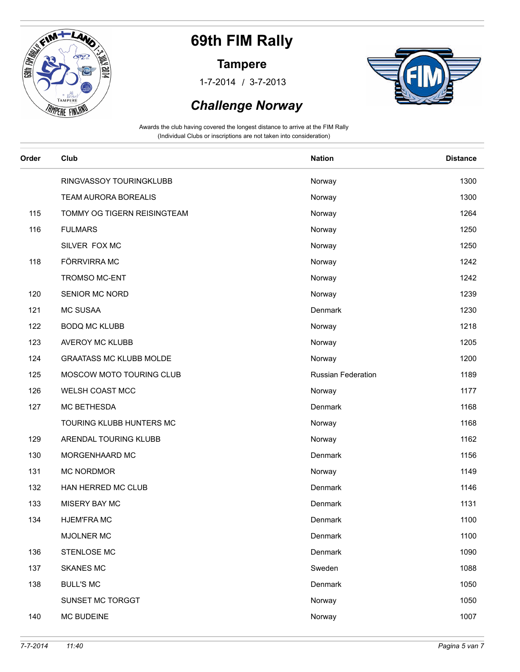

#### **Tampere**

/ 1-7-2014 3-7-2013



#### *Challenge Norway*

| Order | Club                           | <b>Nation</b>             | <b>Distance</b> |
|-------|--------------------------------|---------------------------|-----------------|
|       | RINGVASSOY TOURINGKLUBB        | Norway                    | 1300            |
|       | <b>TEAM AURORA BOREALIS</b>    | Norway                    | 1300            |
| 115   | TOMMY OG TIGERN REISINGTEAM    | Norway                    | 1264            |
| 116   | <b>FULMARS</b>                 | Norway                    | 1250            |
|       | SILVER FOX MC                  | Norway                    | 1250            |
| 118   | FÖRRVIRRA MC                   | Norway                    | 1242            |
|       | <b>TROMSO MC-ENT</b>           | Norway                    | 1242            |
| 120   | SENIOR MC NORD                 | Norway                    | 1239            |
| 121   | <b>MC SUSAA</b>                | Denmark                   | 1230            |
| 122   | <b>BODQ MC KLUBB</b>           | Norway                    | 1218            |
| 123   | AVEROY MC KLUBB                | Norway                    | 1205            |
| 124   | <b>GRAATASS MC KLUBB MOLDE</b> | Norway                    | 1200            |
| 125   | MOSCOW MOTO TOURING CLUB       | <b>Russian Federation</b> | 1189            |
| 126   | WELSH COAST MCC                | Norway                    | 1177            |
| 127   | <b>MC BETHESDA</b>             | Denmark                   | 1168            |
|       | TOURING KLUBB HUNTERS MC       | Norway                    | 1168            |
| 129   | ARENDAL TOURING KLUBB          | Norway                    | 1162            |
| 130   | MORGENHAARD MC                 | Denmark                   | 1156            |
| 131   | MC NORDMOR                     | Norway                    | 1149            |
| 132   | HAN HERRED MC CLUB             | Denmark                   | 1146            |
| 133   | MISERY BAY MC                  | Denmark                   | 1131            |
| 134   | <b>HJEM'FRAMC</b>              | Denmark                   | 1100            |
|       | MJOLNER MC                     | Denmark                   | 1100            |
| 136   | STENLOSE MC                    | Denmark                   | 1090            |
| 137   | <b>SKANES MC</b>               | Sweden                    | 1088            |
| 138   | <b>BULL'S MC</b>               | Denmark                   | 1050            |
|       | SUNSET MC TORGGT               | Norway                    | 1050            |
| 140   | <b>MC BUDEINE</b>              | Norway                    | 1007            |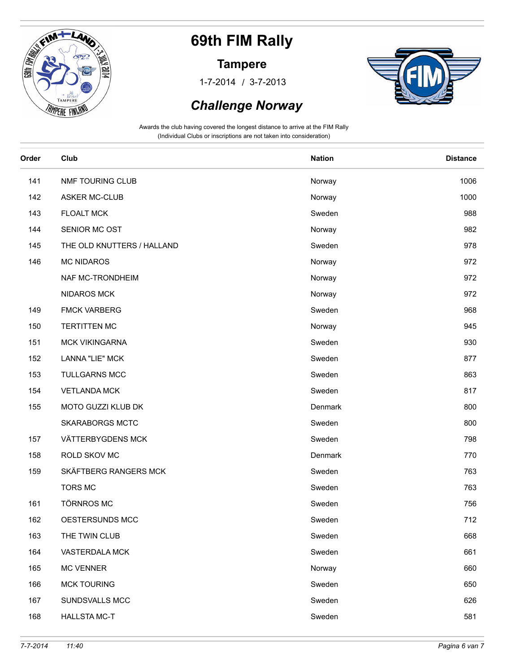

#### **Tampere**

/ 1-7-2014 3-7-2013



### *Challenge Norway*

| Order | Club                       | <b>Nation</b> | <b>Distance</b> |
|-------|----------------------------|---------------|-----------------|
| 141   | NMF TOURING CLUB           | Norway        | 1006            |
| 142   | <b>ASKER MC-CLUB</b>       | Norway        | 1000            |
| 143   | <b>FLOALT MCK</b>          | Sweden        | 988             |
| 144   | SENIOR MC OST              | Norway        | 982             |
| 145   | THE OLD KNUTTERS / HALLAND | Sweden        | 978             |
| 146   | <b>MC NIDAROS</b>          | Norway        | 972             |
|       | NAF MC-TRONDHEIM           | Norway        | 972             |
|       | <b>NIDAROS MCK</b>         | Norway        | 972             |
| 149   | <b>FMCK VARBERG</b>        | Sweden        | 968             |
| 150   | <b>TERTITTEN MC</b>        | Norway        | 945             |
| 151   | <b>MCK VIKINGARNA</b>      | Sweden        | 930             |
| 152   | LANNA "LIE" MCK            | Sweden        | 877             |
| 153   | <b>TULLGARNS MCC</b>       | Sweden        | 863             |
| 154   | <b>VETLANDA MCK</b>        | Sweden        | 817             |
| 155   | MOTO GUZZI KLUB DK         | Denmark       | 800             |
|       | <b>SKARABORGS MCTC</b>     | Sweden        | 800             |
| 157   | VÄTTERBYGDENS MCK          | Sweden        | 798             |
| 158   | ROLD SKOV MC               | Denmark       | 770             |
| 159   | SKÄFTBERG RANGERS MCK      | Sweden        | 763             |
|       | <b>TORS MC</b>             | Sweden        | 763             |
| 161   | <b>TÖRNROS MC</b>          | Sweden        | 756             |
| 162   | OESTERSUNDS MCC            | Sweden        | 712             |
| 163   | THE TWIN CLUB              | Sweden        | 668             |
| 164   | VASTERDALA MCK             | Sweden        | 661             |
| 165   | <b>MC VENNER</b>           | Norway        | 660             |
| 166   | <b>MCK TOURING</b>         | Sweden        | 650             |
| 167   | SUNDSVALLS MCC             | Sweden        | 626             |
| 168   | <b>HALLSTA MC-T</b>        | Sweden        | 581             |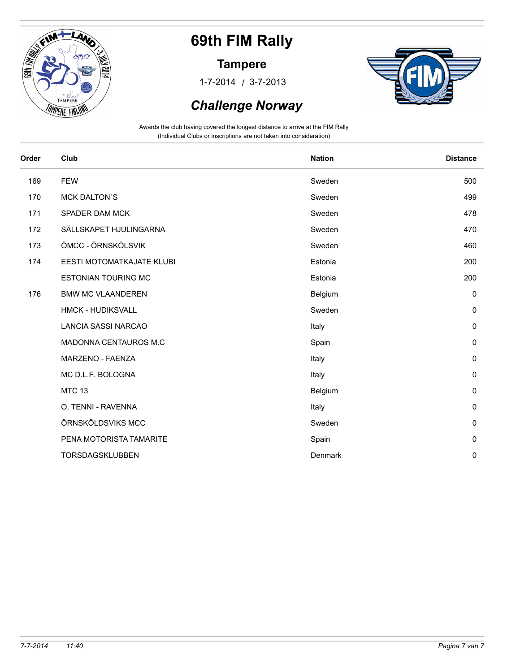

#### **Tampere**

/ 1-7-2014 3-7-2013



### *Challenge Norway*

| Club                       | <b>Nation</b> | <b>Distance</b> |
|----------------------------|---------------|-----------------|
| <b>FEW</b>                 | Sweden        | 500             |
| <b>MCK DALTON'S</b>        | Sweden        | 499             |
| <b>SPADER DAM MCK</b>      | Sweden        | 478             |
| SÄLLSKAPET HJULINGARNA     | Sweden        | 470             |
| ÖMCC - ÖRNSKÖLSVIK         | Sweden        | 460             |
| EESTI MOTOMATKAJATE KLUBI  | Estonia       | 200             |
| <b>ESTONIAN TOURING MC</b> | Estonia       | 200             |
| <b>BMW MC VLAANDEREN</b>   | Belgium       | $\mathbf 0$     |
| <b>HMCK - HUDIKSVALL</b>   | Sweden        | $\mathbf 0$     |
| <b>LANCIA SASSI NARCAO</b> | Italy         | $\mathbf 0$     |
| MADONNA CENTAUROS M.C      | Spain         | $\pmb{0}$       |
| MARZENO - FAENZA           | Italy         | $\mathbf 0$     |
| MC D.L.F. BOLOGNA          | Italy         | $\mathbf 0$     |
| <b>MTC 13</b>              | Belgium       | $\pmb{0}$       |
| O. TENNI - RAVENNA         | Italy         | $\mathbf 0$     |
| ÖRNSKÖLDSVIKS MCC          | Sweden        | $\mathbf 0$     |
| PENA MOTORISTA TAMARITE    | Spain         | $\mathbf 0$     |
| TORSDAGSKLUBBEN            | Denmark       | $\mathbf 0$     |
|                            |               |                 |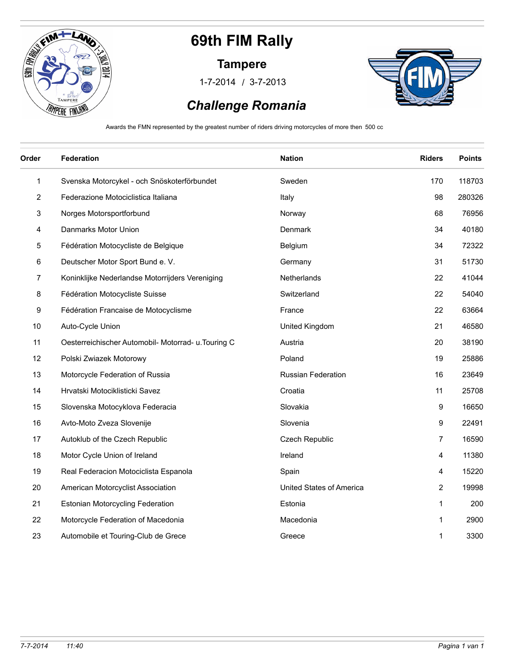

#### **Tampere**

/ 1-7-2014 3-7-2013



## *Challenge Romania*

Awards the FMN represented by the greatest number of riders driving motorcycles of more then 500 cc

| Order        | Federation                                          | <b>Nation</b>            | <b>Riders</b>           | <b>Points</b> |
|--------------|-----------------------------------------------------|--------------------------|-------------------------|---------------|
| $\mathbf{1}$ | Svenska Motorcykel - och Snöskoterförbundet         | Sweden                   | 170                     | 118703        |
| 2            | Federazione Motociclistica Italiana                 | Italy                    | 98                      | 280326        |
| 3            | Norges Motorsportforbund                            | Norway                   | 68                      | 76956         |
| 4            | Danmarks Motor Union                                | Denmark                  | 34                      | 40180         |
| 5            | Fédération Motocycliste de Belgique                 | Belgium                  | 34                      | 72322         |
| 6            | Deutscher Motor Sport Bund e. V.                    | Germany                  | 31                      | 51730         |
| 7            | Koninklijke Nederlandse Motorrijders Vereniging     | Netherlands              | 22                      | 41044         |
| 8            | Fédération Motocycliste Suisse                      | Switzerland              | 22                      | 54040         |
| 9            | Fédération Francaise de Motocyclisme                | France                   | 22                      | 63664         |
| 10           | Auto-Cycle Union                                    | United Kingdom           | 21                      | 46580         |
| 11           | Oesterreichischer Automobil- Motorrad- u. Touring C | Austria                  | 20                      | 38190         |
| 12           | Polski Zwiazek Motorowy                             | Poland                   | 19                      | 25886         |
| 13           | Motorcycle Federation of Russia                     | Russian Federation       | 16                      | 23649         |
| 14           | Hrvatski Motociklisticki Savez                      | Croatia                  | 11                      | 25708         |
| 15           | Slovenska Motocyklova Federacia                     | Slovakia                 | 9                       | 16650         |
| 16           | Avto-Moto Zveza Slovenije                           | Slovenia                 | 9                       | 22491         |
| 17           | Autoklub of the Czech Republic                      | Czech Republic           | $\overline{7}$          | 16590         |
| 18           | Motor Cycle Union of Ireland                        | Ireland                  | $\overline{\mathbf{4}}$ | 11380         |
| 19           | Real Federacion Motociclista Espanola               | Spain                    | 4                       | 15220         |
| 20           | American Motorcyclist Association                   | United States of America | $\overline{2}$          | 19998         |
| 21           | <b>Estonian Motorcycling Federation</b>             | Estonia                  | 1                       | 200           |
| 22           | Motorcycle Federation of Macedonia                  | Macedonia                | 1                       | 2900          |
| 23           | Automobile et Touring-Club de Grece                 | Greece                   | 1                       | 3300          |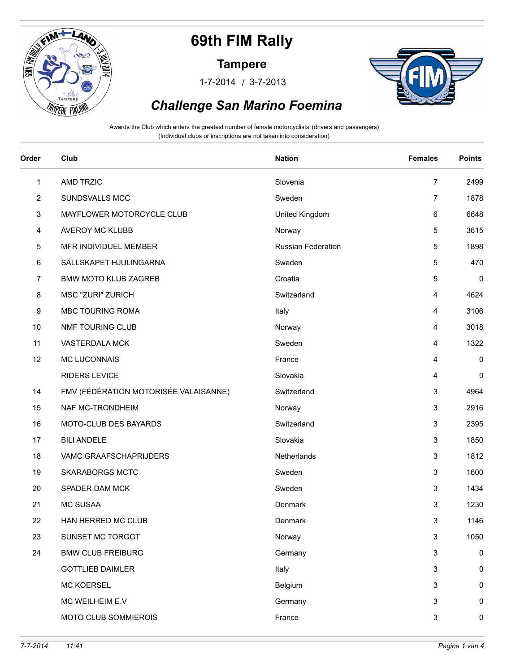

#### **Tampere**

/ 1-7-2014 3-7-2013



### *Challenge San Marino Foemina*

| Order        | Club                                  | <b>Nation</b>             | <b>Females</b> | <b>Points</b> |
|--------------|---------------------------------------|---------------------------|----------------|---------------|
| $\mathbf{1}$ | AMD TRZIC                             | Slovenia                  | $\overline{7}$ | 2499          |
| 2            | SUNDSVALLS MCC                        | Sweden                    | 7              | 1878          |
| 3            | MAYFLOWER MOTORCYCLE CLUB             | United Kingdom            | 6              | 6648          |
| 4            | AVEROY MC KLUBB                       | Norway                    | 5              | 3615          |
| 5            | MFR INDIVIDUEL MEMBER                 | <b>Russian Federation</b> | 5              | 1898          |
| 6            | SÄLLSKAPET HJULINGARNA                | Sweden                    | 5              | 470           |
| 7            | <b>BMW MOTO KLUB ZAGREB</b>           | Croatia                   | 5              | $\pmb{0}$     |
| 8            | <b>MSC "ZURI" ZURICH</b>              | Switzerland               | 4              | 4624          |
| 9            | <b>MBC TOURING ROMA</b>               | Italy                     | 4              | 3106          |
| 10           | NMF TOURING CLUB                      | Norway                    | 4              | 3018          |
| 11           | VASTERDALA MCK                        | Sweden                    | 4              | 1322          |
| 12           | <b>MC LUCONNAIS</b>                   | France                    | 4              | 0             |
|              | <b>RIDERS LEVICE</b>                  | Slovakia                  | 4              | 0             |
| 14           | FMV (FÉDÉRATION MOTORISÉE VALAISANNE) | Switzerland               | 3              | 4964          |
| 15           | NAF MC-TRONDHEIM                      | Norway                    | 3              | 2916          |
| 16           | MOTO-CLUB DES BAYARDS                 | Switzerland               | 3              | 2395          |
| 17           | <b>BILI ANDELE</b>                    | Slovakia                  | 3              | 1850          |
| 18           | VAMC GRAAFSCHAPRIJDERS                | Netherlands               | $\mathbf{3}$   | 1812          |
| 19           | <b>SKARABORGS MCTC</b>                | Sweden                    | $\mathbf{3}$   | 1600          |
| 20           | SPADER DAM MCK                        | Sweden                    | 3              | 1434          |
| 21           | <b>MC SUSAA</b>                       | Denmark                   | 3              | 1230          |
| 22           | HAN HERRED MC CLUB                    | Denmark                   | 3              | 1146          |
| 23           | SUNSET MC TORGGT                      | Norway                    | 3              | 1050          |
| 24           | <b>BMW CLUB FREIBURG</b>              | Germany                   | $\mathbf{3}$   | 0             |
|              | <b>GOTTLIEB DAIMLER</b>               | Italy                     | $\mathbf{3}$   | 0             |
|              | <b>MC KOERSEL</b>                     | Belgium                   | 3              | 0             |
|              | MC WEILHEIM E.V                       | Germany                   | 3              | 0             |
|              | MOTO CLUB SOMMIEROIS                  | France                    | 3              | 0             |
|              |                                       |                           |                |               |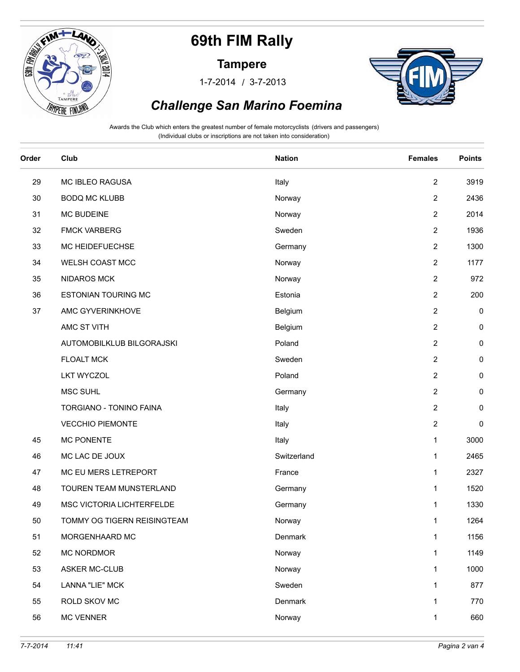

#### **Tampere**

/ 1-7-2014 3-7-2013



### *Challenge San Marino Foemina*

| Order | Club                        | <b>Nation</b> | <b>Females</b>   | <b>Points</b> |
|-------|-----------------------------|---------------|------------------|---------------|
| 29    | MC IBLEO RAGUSA             | Italy         | $\overline{2}$   | 3919          |
| 30    | <b>BODQ MC KLUBB</b>        | Norway        | $\overline{2}$   | 2436          |
| 31    | <b>MC BUDEINE</b>           | Norway        | $\overline{2}$   | 2014          |
| 32    | <b>FMCK VARBERG</b>         | Sweden        | $\overline{2}$   | 1936          |
| 33    | MC HEIDEFUECHSE             | Germany       | $\overline{2}$   | 1300          |
| 34    | WELSH COAST MCC             | Norway        | $\overline{2}$   | 1177          |
| 35    | <b>NIDAROS MCK</b>          | Norway        | $\overline{2}$   | 972           |
| 36    | <b>ESTONIAN TOURING MC</b>  | Estonia       | $\overline{2}$   | 200           |
| 37    | AMC GYVERINKHOVE            | Belgium       | $\boldsymbol{2}$ | 0             |
|       | AMC ST VITH                 | Belgium       | $\overline{2}$   | 0             |
|       | AUTOMOBILKLUB BILGORAJSKI   | Poland        | $\overline{2}$   | 0             |
|       | <b>FLOALT MCK</b>           | Sweden        | $\overline{2}$   | $\pmb{0}$     |
|       | <b>LKT WYCZOL</b>           | Poland        | $\boldsymbol{2}$ | $\pmb{0}$     |
|       | MSC SUHL                    | Germany       | $\overline{2}$   | 0             |
|       | TORGIANO - TONINO FAINA     | Italy         | $\overline{2}$   | 0             |
|       | <b>VECCHIO PIEMONTE</b>     | Italy         | $\boldsymbol{2}$ | 0             |
| 45    | <b>MC PONENTE</b>           | Italy         | 1                | 3000          |
| 46    | MC LAC DE JOUX              | Switzerland   | 1                | 2465          |
| 47    | MC EU MERS LETREPORT        | France        | 1                | 2327          |
| 48    | TOUREN TEAM MUNSTERLAND     | Germany       | 1                | 1520          |
| 49    | MSC VICTORIA LICHTERFELDE   | Germany       | 1                | 1330          |
| 50    | TOMMY OG TIGERN REISINGTEAM | Norway        | 1                | 1264          |
| 51    | MORGENHAARD MC              | Denmark       | $\mathbf{1}$     | 1156          |
| 52    | MC NORDMOR                  | Norway        | $\mathbf{1}$     | 1149          |
| 53    | <b>ASKER MC-CLUB</b>        | Norway        | 1                | 1000          |
| 54    | <b>LANNA "LIE" MCK</b>      | Sweden        | $\mathbf{1}$     | 877           |
| 55    | ROLD SKOV MC                | Denmark       | 1                | 770           |
| 56    | <b>MC VENNER</b>            | Norway        | 1                | 660           |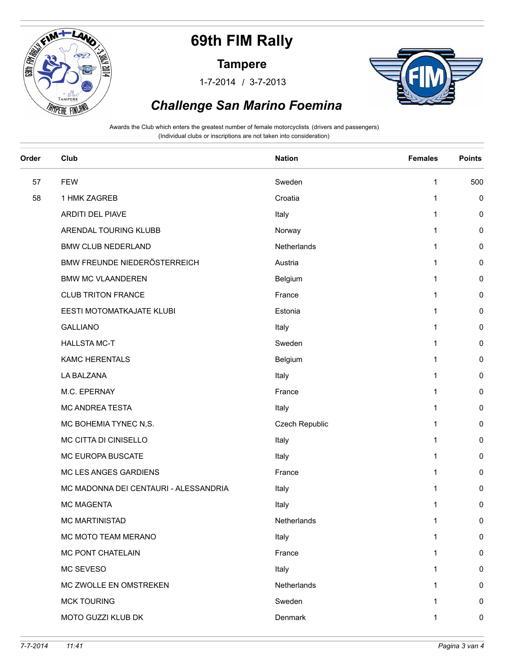

#### **Tampere**

/ 1-7-2014 3-7-2013



### *Challenge San Marino Foemina*

| Order | Club                                  | <b>Nation</b>  | <b>Females</b> | <b>Points</b> |
|-------|---------------------------------------|----------------|----------------|---------------|
| 57    | <b>FEW</b>                            | Sweden         | 1              | 500           |
| 58    | 1 HMK ZAGREB                          | Croatia        | 1              | 0             |
|       | ARDITI DEL PIAVE                      | Italy          | 1              | 0             |
|       | ARENDAL TOURING KLUBB                 | Norway         | 1              | 0             |
|       | <b>BMW CLUB NEDERLAND</b>             | Netherlands    | 1              | 0             |
|       | BMW FREUNDE NIEDERÖSTERREICH          | Austria        | 1              | 0             |
|       | <b>BMW MC VLAANDEREN</b>              | Belgium        | 1              | 0             |
|       | <b>CLUB TRITON FRANCE</b>             | France         | 1              | 0             |
|       | EESTI MOTOMATKAJATE KLUBI             | Estonia        | 1              | 0             |
|       | <b>GALLIANO</b>                       | Italy          | 1              | 0             |
|       | <b>HALLSTA MC-T</b>                   | Sweden         | 1              | 0             |
|       | <b>KAMC HERENTALS</b>                 | Belgium        | $\mathbf{1}$   | 0             |
|       | LA BALZANA                            | Italy          | 1              | 0             |
|       | M.C. EPERNAY                          | France         | 1              | 0             |
|       | MC ANDREA TESTA                       | Italy          | 1              | 0             |
|       | MC BOHEMIA TYNEC N,S.                 | Czech Republic | 1              | 0             |
|       | MC CITTA DI CINISELLO                 | Italy          | 1              | 0             |
|       | MC EUROPA BUSCATE                     | Italy          | 1              | 0             |
|       | MC LES ANGES GARDIENS                 | France         | 1              | 0             |
|       | MC MADONNA DEI CENTAURI - ALESSANDRIA | Italy          | 1              | 0             |
|       | <b>MC MAGENTA</b>                     | Italy          | 1              | 0             |
|       | <b>MC MARTINISTAD</b>                 | Netherlands    | 1              | 0             |
|       | MC MOTO TEAM MERANO                   | Italy          | 1              | 0             |
|       | MC PONT CHATELAIN                     | France         | 1              | 0             |
|       | MC SEVESO                             | Italy          | 1              | 0             |
|       | MC ZWOLLE EN OMSTREKEN                | Netherlands    | 1              | 0             |
|       | <b>MCK TOURING</b>                    | Sweden         | 1              | 0             |
|       | MOTO GUZZI KLUB DK                    | Denmark        | 1              | $\pmb{0}$     |
|       |                                       |                |                |               |